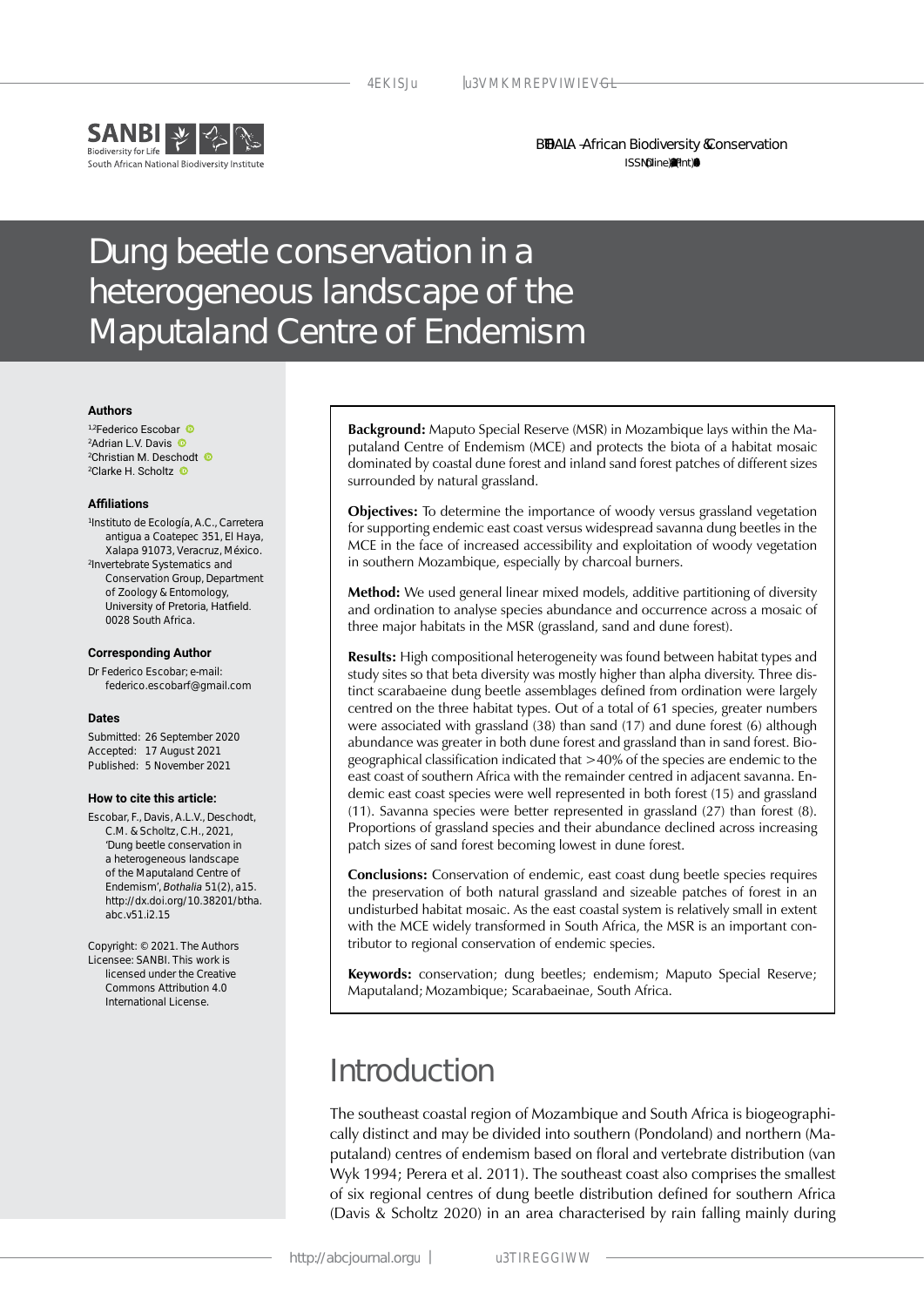

BOTHALIA – African Biodiversity & Conservation ISSN: (Online) 2311-9284, (Print) 0006-8241

# Dung beetle conservation in a heterogeneous landscape of the Maputaland Centre of Endemism

#### **Authors**

1,2Federico Escobar 2 Adrian L.V. Davis 2 Christian M. Deschodt 2 Clarke H. Scholtz

#### **Affiliations**

1 Instituto de Ecología, A.C., Carretera antigua a Coatepec 351, El Haya, Xalapa 91073, Veracruz, México. 2 Invertebrate Systematics and Conservation Group, Department of Zoology & Entomology, University of Pretoria, Hatfield. 0028 South Africa.

#### **Corresponding Author**

Dr Federico Escobar; e-mail: federico.escobarf@gmail.com

#### **Dates**

Submitted: 26 September 2020 Accepted: 17 August 2021 Published: 5 November 2021

#### **How to cite this article:**

Escobar, F., Davis, A.L.V., Deschodt C.M. & Scholtz, C.H., 2021, 'Dung beetle conservation in a heterogeneous landscape of the Maputaland Centre of Endemism', *Bothalia* 51(2), a15. [http://dx.doi.org/10.38201/btha.](http://dx.doi.org/10.38201/btha.abc.v51.i2) [abc.v51.i2.](http://dx.doi.org/10.38201/btha.abc.v51.i2)15

Copyright: © 2021. The Authors Licensee: SANBI. This work is licensed under the Creative Commons Attribution 4.0 International License.

**Background:** Maputo Special Reserve (MSR) in Mozambique lays within the Maputaland Centre of Endemism (MCE) and protects the biota of a habitat mosaic dominated by coastal dune forest and inland sand forest patches of different sizes surrounded by natural grassland.

**Objectives:** To determine the importance of woody versus grassland vegetation for supporting endemic east coast versus widespread savanna dung beetles in the MCE in the face of increased accessibility and exploitation of woody vegetation in southern Mozambique, especially by charcoal burners.

**Method:** We used general linear mixed models, additive partitioning of diversity and ordination to analyse species abundance and occurrence across a mosaic of three major habitats in the MSR (grassland, sand and dune forest).

**Results:** High compositional heterogeneity was found between habitat types and study sites so that beta diversity was mostly higher than alpha diversity. Three distinct scarabaeine dung beetle assemblages defined from ordination were largely centred on the three habitat types. Out of a total of 61 species, greater numbers were associated with grassland (38) than sand (17) and dune forest (6) although abundance was greater in both dune forest and grassland than in sand forest. Biogeographical classification indicated that >40% of the species are endemic to the east coast of southern Africa with the remainder centred in adjacent savanna. Endemic east coast species were well represented in both forest (15) and grassland (11). Savanna species were better represented in grassland (27) than forest (8). Proportions of grassland species and their abundance declined across increasing patch sizes of sand forest becoming lowest in dune forest.

**Conclusions:** Conservation of endemic, east coast dung beetle species requires the preservation of both natural grassland and sizeable patches of forest in an undisturbed habitat mosaic. As the east coastal system is relatively small in extent with the MCE widely transformed in South Africa, the MSR is an important contributor to regional conservation of endemic species.

**Keywords:** conservation; dung beetles; endemism; Maputo Special Reserve; Maputaland; Mozambique; Scarabaeinae, South Africa.

## Introduction

The southeast coastal region of Mozambique and South Africa is biogeographically distinct and may be divided into southern (Pondoland) and northern (Maputaland) centres of endemism based on floral and vertebrate distribution (van Wyk 1994; Perera et al. 2011). The southeast coast also comprises the smallest of six regional centres of dung beetle distribution defined for southern Africa (Davis & Scholtz 2020) in an area characterised by rain falling mainly during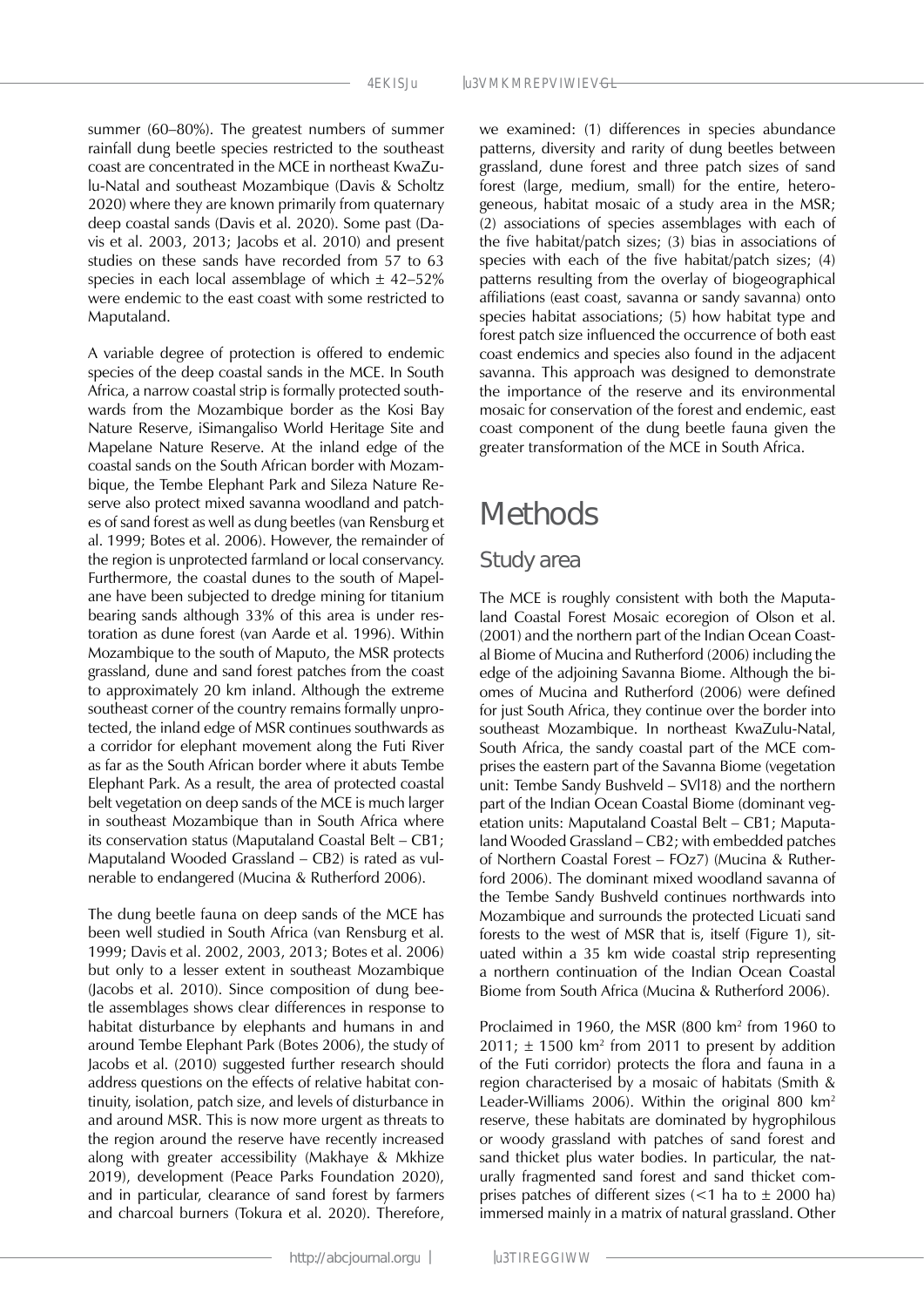summer (60–80%). The greatest numbers of summer rainfall dung beetle species restricted to the southeast coast are concentrated in the MCE in northeast KwaZulu-Natal and southeast Mozambique (Davis & Scholtz 2020) where they are known primarily from quaternary deep coastal sands (Davis et al. 2020). Some past (Davis et al. 2003, 2013; Jacobs et al. 2010) and present studies on these sands have recorded from 57 to 63 species in each local assemblage of which  $\pm$  42–52% were endemic to the east coast with some restricted to Maputaland.

A variable degree of protection is offered to endemic species of the deep coastal sands in the MCE. In South Africa, a narrow coastal strip is formally protected southwards from the Mozambique border as the Kosi Bay Nature Reserve, iSimangaliso World Heritage Site and Mapelane Nature Reserve. At the inland edge of the coastal sands on the South African border with Mozambique, the Tembe Elephant Park and Sileza Nature Reserve also protect mixed savanna woodland and patches of sand forest as well as dung beetles (van Rensburg et al. 1999; Botes et al. 2006). However, the remainder of the region is unprotected farmland or local conservancy. Furthermore, the coastal dunes to the south of Mapelane have been subjected to dredge mining for titanium bearing sands although 33% of this area is under restoration as dune forest (van Aarde et al. 1996). Within Mozambique to the south of Maputo, the MSR protects grassland, dune and sand forest patches from the coast to approximately 20 km inland. Although the extreme southeast corner of the country remains formally unprotected, the inland edge of MSR continues southwards as a corridor for elephant movement along the Futi River as far as the South African border where it abuts Tembe Elephant Park. As a result, the area of protected coastal belt vegetation on deep sands of the MCE is much larger in southeast Mozambique than in South Africa where its conservation status (Maputaland Coastal Belt – CB1; Maputaland Wooded Grassland – CB2) is rated as vulnerable to endangered (Mucina & Rutherford 2006).

The dung beetle fauna on deep sands of the MCE has been well studied in South Africa (van Rensburg et al. 1999; Davis et al. 2002, 2003, 2013; Botes et al. 2006) but only to a lesser extent in southeast Mozambique (Jacobs et al. 2010). Since composition of dung beetle assemblages shows clear differences in response to habitat disturbance by elephants and humans in and around Tembe Elephant Park (Botes 2006), the study of Jacobs et al. (2010) suggested further research should address questions on the effects of relative habitat continuity, isolation, patch size, and levels of disturbance in and around MSR. This is now more urgent as threats to the region around the reserve have recently increased along with greater accessibility (Makhaye & Mkhize 2019), development (Peace Parks Foundation 2020), and in particular, clearance of sand forest by farmers and charcoal burners (Tokura et al. 2020). Therefore,

we examined: (1) differences in species abundance patterns, diversity and rarity of dung beetles between grassland, dune forest and three patch sizes of sand forest (large, medium, small) for the entire, heterogeneous, habitat mosaic of a study area in the MSR; (2) associations of species assemblages with each of the five habitat/patch sizes; (3) bias in associations of species with each of the five habitat/patch sizes; (4) patterns resulting from the overlay of biogeographical affiliations (east coast, savanna or sandy savanna) onto species habitat associations; (5) how habitat type and forest patch size influenced the occurrence of both east coast endemics and species also found in the adjacent savanna. This approach was designed to demonstrate the importance of the reserve and its environmental mosaic for conservation of the forest and endemic, east coast component of the dung beetle fauna given the greater transformation of the MCE in South Africa.

# Methods

#### Study area

The MCE is roughly consistent with both the Maputaland Coastal Forest Mosaic ecoregion of Olson et al. (2001) and the northern part of the Indian Ocean Coastal Biome of Mucina and Rutherford (2006) including the edge of the adjoining Savanna Biome. Although the biomes of Mucina and Rutherford (2006) were defined for just South Africa, they continue over the border into southeast Mozambique. In northeast KwaZulu-Natal, South Africa, the sandy coastal part of the MCE comprises the eastern part of the Savanna Biome (vegetation unit: Tembe Sandy Bushveld – SVl18) and the northern part of the Indian Ocean Coastal Biome (dominant vegetation units: Maputaland Coastal Belt – CB1; Maputaland Wooded Grassland – CB2; with embedded patches of Northern Coastal Forest – FOz7) (Mucina & Rutherford 2006). The dominant mixed woodland savanna of the Tembe Sandy Bushveld continues northwards into Mozambique and surrounds the protected Licuati sand forests to the west of MSR that is, itself (Figure 1), situated within a 35 km wide coastal strip representing a northern continuation of the Indian Ocean Coastal Biome from South Africa (Mucina & Rutherford 2006).

Proclaimed in 1960, the MSR (800 km<sup>2</sup> from 1960 to  $2011$ ;  $\pm$  1500 km<sup>2</sup> from 2011 to present by addition of the Futi corridor) protects the flora and fauna in a region characterised by a mosaic of habitats (Smith & Leader-Williams 2006). Within the original 800 km2 reserve, these habitats are dominated by hygrophilous or woody grassland with patches of sand forest and sand thicket plus water bodies. In particular, the naturally fragmented sand forest and sand thicket comprises patches of different sizes  $(<1$  ha to  $\pm$  2000 ha) immersed mainly in a matrix of natural grassland. Other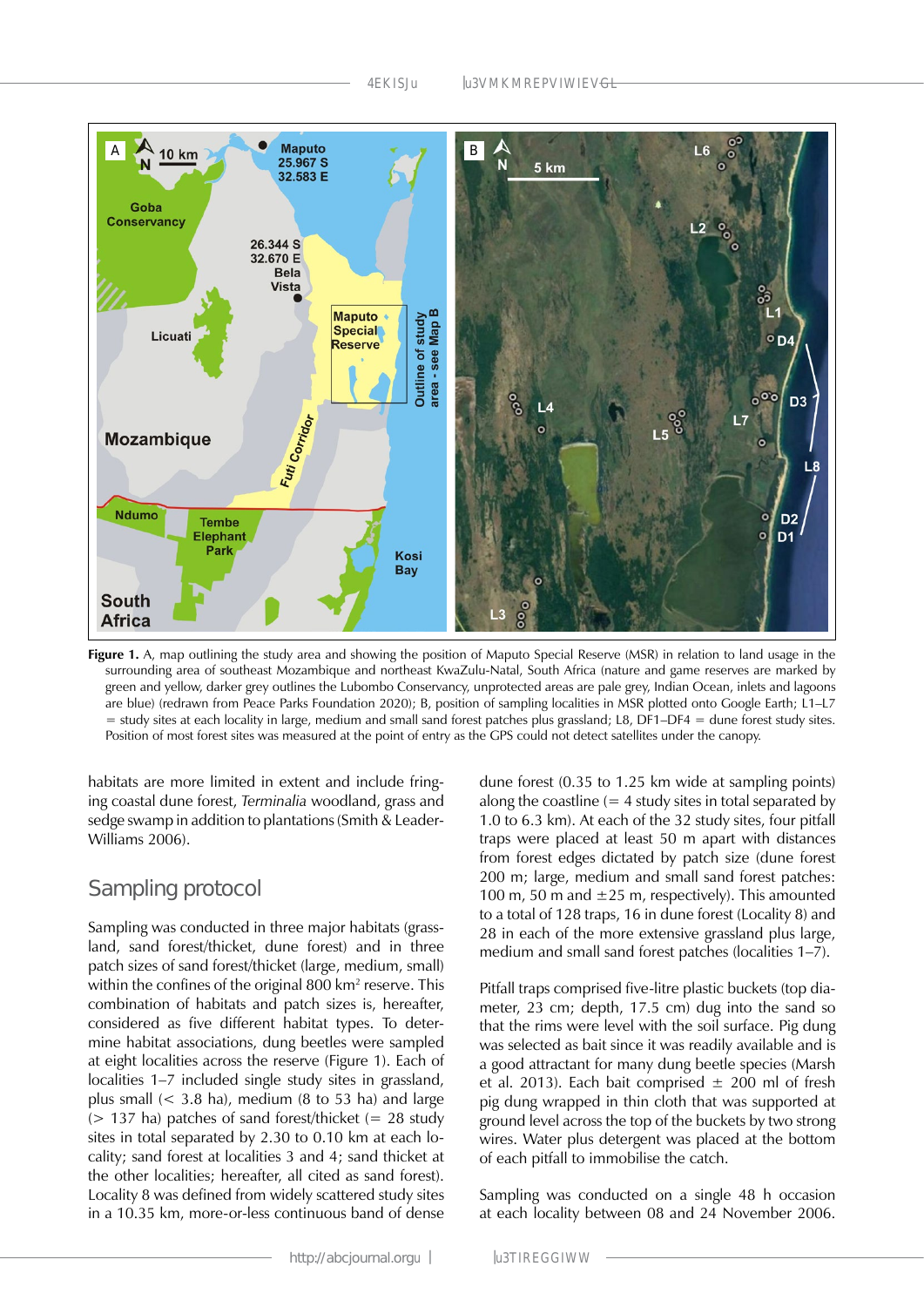

**Figure 1.** A, map outlining the study area and showing the position of Maputo Special Reserve (MSR) in relation to land usage in the surrounding area of southeast Mozambique and northeast KwaZulu-Natal, South Africa (nature and game reserves are marked by green and yellow, darker grey outlines the Lubombo Conservancy, unprotected areas are pale grey, Indian Ocean, inlets and lagoons are blue) (redrawn from Peace Parks Foundation 2020); B, position of sampling localities in MSR plotted onto Google Earth; L1–L7 = study sites at each locality in large, medium and small sand forest patches plus grassland; L8, DF1–DF4 = dune forest study sites. Position of most forest sites was measured at the point of entry as the GPS could not detect satellites under the canopy.

habitats are more limited in extent and include fringing coastal dune forest, *Terminalia* woodland, grass and sedge swamp in addition to plantations (Smith & Leader-Williams 2006).

#### Sampling protocol

Sampling was conducted in three major habitats (grassland, sand forest/thicket, dune forest) and in three patch sizes of sand forest/thicket (large, medium, small) within the confines of the original 800 km<sup>2</sup> reserve. This combination of habitats and patch sizes is, hereafter, considered as five different habitat types. To determine habitat associations, dung beetles were sampled at eight localities across the reserve (Figure 1). Each of localities 1–7 included single study sites in grassland, plus small  $( $3.8 \text{ ha}$ ), medium  $(8 \text{ to } 53 \text{ ha})$  and large$  $(> 137$  ha) patches of sand forest/thicket  $(= 28$  study sites in total separated by 2.30 to 0.10 km at each locality; sand forest at localities 3 and 4; sand thicket at the other localities; hereafter, all cited as sand forest). Locality 8 was defined from widely scattered study sites in a 10.35 km, more-or-less continuous band of dense

dune forest (0.35 to 1.25 km wide at sampling points) along the coastline  $(= 4 \text{ study sites in total separated by})$ 1.0 to 6.3 km). At each of the 32 study sites, four pitfall traps were placed at least 50 m apart with distances from forest edges dictated by patch size (dune forest 200 m; large, medium and small sand forest patches: 100 m, 50 m and  $\pm 25$  m, respectively). This amounted to a total of 128 traps, 16 in dune forest (Locality 8) and 28 in each of the more extensive grassland plus large, medium and small sand forest patches (localities 1–7).

Pitfall traps comprised five-litre plastic buckets (top diameter, 23 cm; depth, 17.5 cm) dug into the sand so that the rims were level with the soil surface. Pig dung was selected as bait since it was readily available and is a good attractant for many dung beetle species (Marsh et al. 2013). Each bait comprised  $\pm$  200 ml of fresh pig dung wrapped in thin cloth that was supported at ground level across the top of the buckets by two strong wires. Water plus detergent was placed at the bottom of each pitfall to immobilise the catch.

Sampling was conducted on a single 48 h occasion at each locality between 08 and 24 November 2006.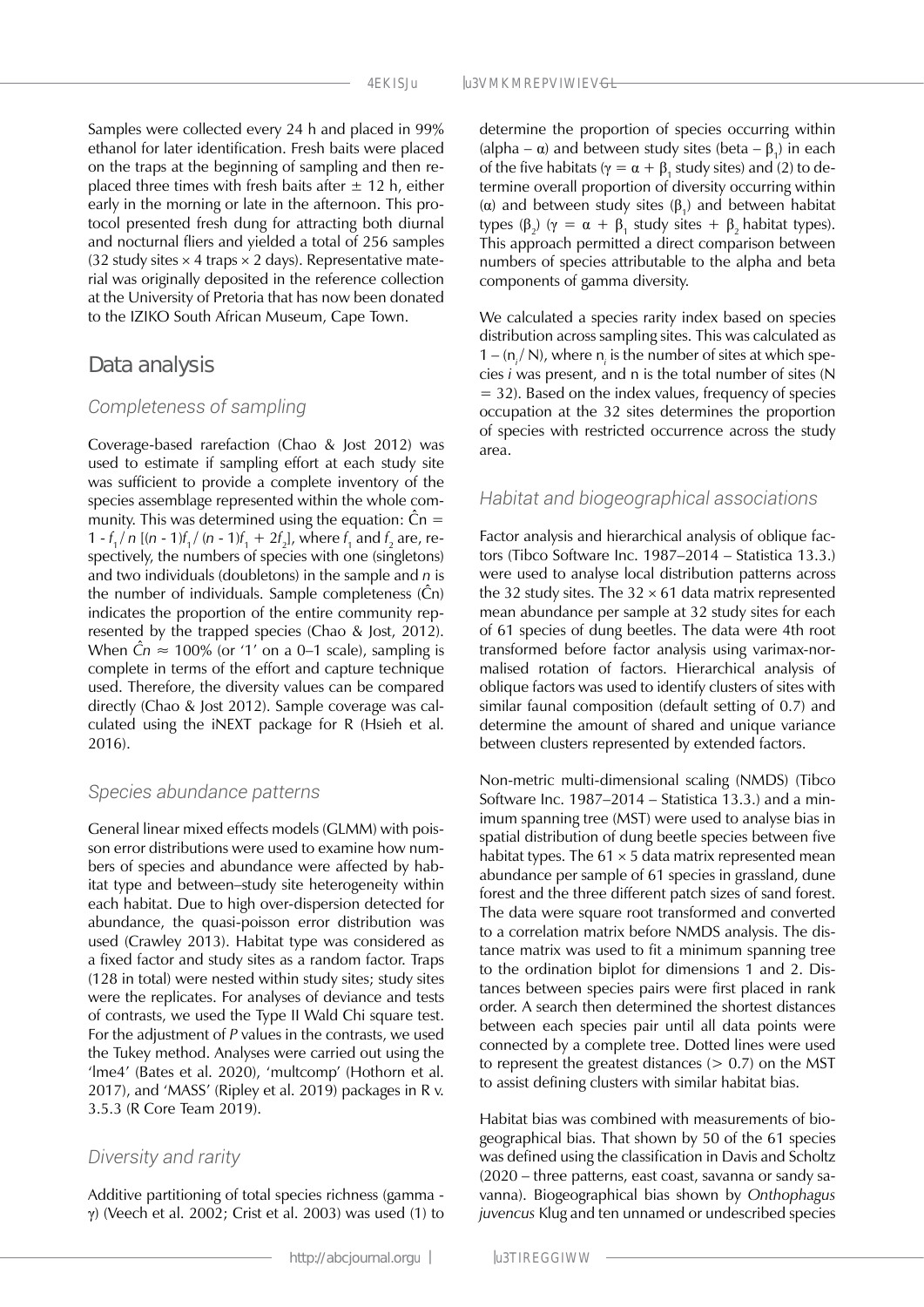Samples were collected every 24 h and placed in 99% ethanol for later identification. Fresh baits were placed on the traps at the beginning of sampling and then replaced three times with fresh baits after  $\pm$  12 h, either early in the morning or late in the afternoon. This protocol presented fresh dung for attracting both diurnal and nocturnal fliers and yielded a total of 256 samples (32 study sites  $\times$  4 traps  $\times$  2 days). Representative material was originally deposited in the reference collection at the University of Pretoria that has now been donated to the IZIKO South African Museum, Cape Town.

### Data analysis

#### *Completeness of sampling*

Coverage-based rarefaction (Chao & Jost 2012) was used to estimate if sampling effort at each study site was sufficient to provide a complete inventory of the species assemblage represented within the whole community. This was determined using the equation:  $\hat{C}n =$ 1 - *f*<sub>1</sub> / *n* [(*n* - 1)*f*<sub>1</sub> / (*n* - 1)*f*<sub>1</sub> + 2*f*<sub>2</sub>], where *f*<sub>1</sub> and *f*<sub>2</sub> are, respectively, the numbers of species with one (singletons) and two individuals (doubletons) in the sample and *n* is the number of individuals. Sample completeness  $(cn)$ indicates the proportion of the entire community represented by the trapped species (Chao & Jost, 2012). When  $\hat{C}n \approx 100\%$  (or '1' on a 0–1 scale), sampling is complete in terms of the effort and capture technique used. Therefore, the diversity values can be compared directly (Chao & Jost 2012). Sample coverage was calculated using the iNEXT package for R (Hsieh et al. 2016).

#### *Species abundance patterns*

General linear mixed effects models (GLMM) with poisson error distributions were used to examine how numbers of species and abundance were affected by habitat type and between–study site heterogeneity within each habitat. Due to high over-dispersion detected for abundance, the quasi-poisson error distribution was used (Crawley 2013). Habitat type was considered as a fixed factor and study sites as a random factor. Traps (128 in total) were nested within study sites; study sites were the replicates. For analyses of deviance and tests of contrasts, we used the Type II Wald Chi square test. For the adjustment of *P* values in the contrasts, we used the Tukey method. Analyses were carried out using the 'lme4' (Bates et al. 2020), 'multcomp' (Hothorn et al. 2017), and 'MASS' (Ripley et al. 2019) packages in R v. 3.5.3 (R Core Team 2019).

#### *Diversity and rarity*

Additive partitioning of total species richness (gamma γ) (Veech et al. 2002; Crist et al. 2003) was used (1) to determine the proportion of species occurring within (alpha –  $\alpha$ ) and between study sites (beta –  $\beta_1$ ) in each of the five habitats ( $\gamma = \alpha + \beta_1$  study sites) and (2) to determine overall proportion of diversity occurring within (α) and between study sites ( $β_1$ ) and between habitat types (β<sub>2</sub>) (γ = α + β<sub>1</sub> study sites + β<sub>2</sub> habitat types). This approach permitted a direct comparison between numbers of species attributable to the alpha and beta components of gamma diversity.

We calculated a species rarity index based on species distribution across sampling sites. This was calculated as 1 – (n*<sup>i</sup>* / N), where n*<sup>i</sup>* is the number of sites at which species *i* was present, and n is the total number of sites (N = 32). Based on the index values, frequency of species occupation at the 32 sites determines the proportion of species with restricted occurrence across the study area.

#### *Habitat and biogeographical associations*

Factor analysis and hierarchical analysis of oblique factors (Tibco Software Inc. 1987–2014 – Statistica 13.3.) were used to analyse local distribution patterns across the 32 study sites. The  $32 \times 61$  data matrix represented mean abundance per sample at 32 study sites for each of 61 species of dung beetles. The data were 4th root transformed before factor analysis using varimax-normalised rotation of factors. Hierarchical analysis of oblique factors was used to identify clusters of sites with similar faunal composition (default setting of 0.7) and determine the amount of shared and unique variance between clusters represented by extended factors.

Non-metric multi-dimensional scaling (NMDS) (Tibco Software Inc. 1987–2014 – Statistica 13.3.) and a minimum spanning tree (MST) were used to analyse bias in spatial distribution of dung beetle species between five habitat types. The  $61 \times 5$  data matrix represented mean abundance per sample of 61 species in grassland, dune forest and the three different patch sizes of sand forest. The data were square root transformed and converted to a correlation matrix before NMDS analysis. The distance matrix was used to fit a minimum spanning tree to the ordination biplot for dimensions 1 and 2. Distances between species pairs were first placed in rank order. A search then determined the shortest distances between each species pair until all data points were connected by a complete tree. Dotted lines were used to represent the greatest distances  $(> 0.7)$  on the MST to assist defining clusters with similar habitat bias.

Habitat bias was combined with measurements of biogeographical bias. That shown by 50 of the 61 species was defined using the classification in Davis and Scholtz (2020 – three patterns, east coast, savanna or sandy savanna). Biogeographical bias shown by *Onthophagus juvencus* Klug and ten unnamed or undescribed species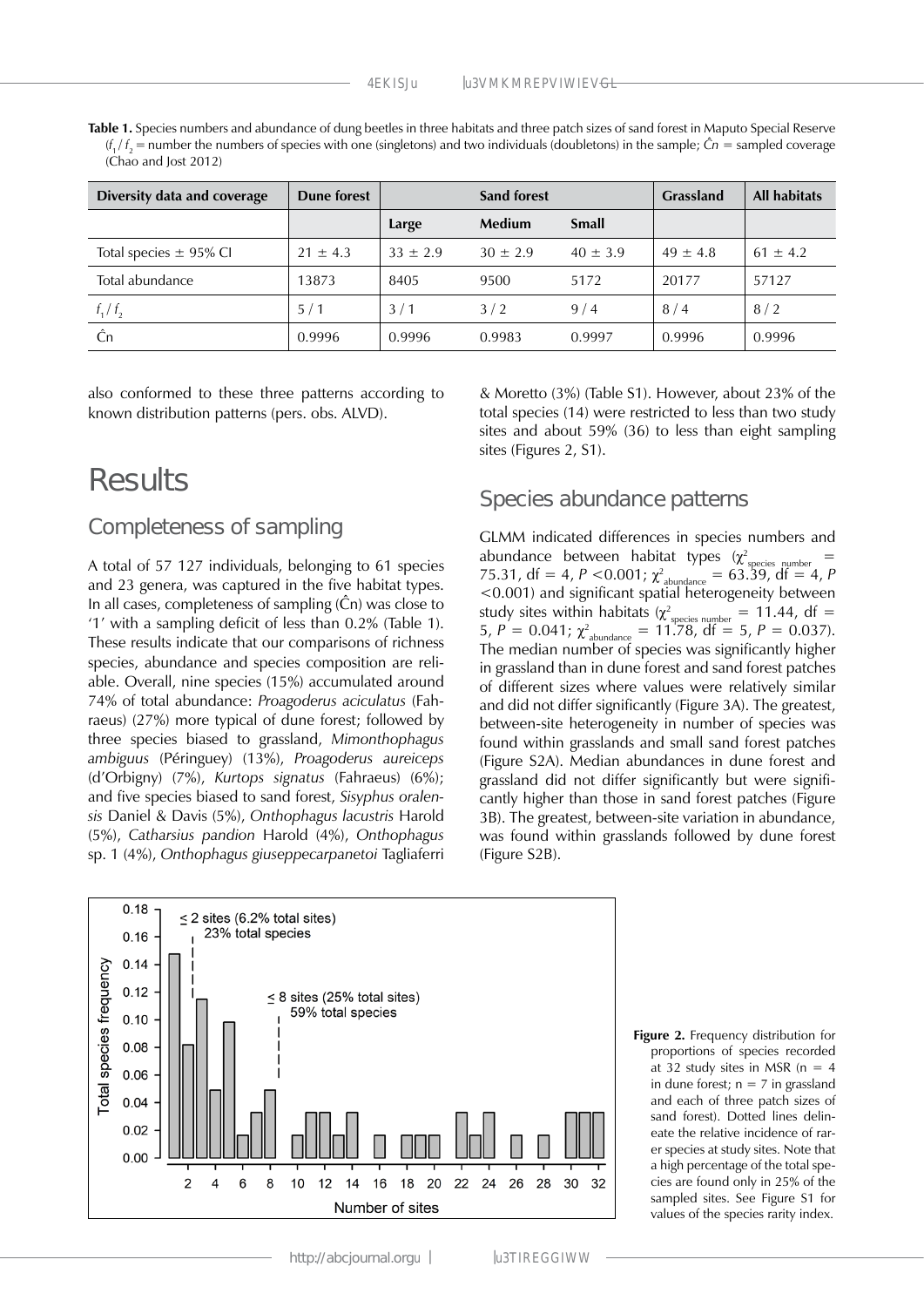**Table 1.** Species numbers and abundance of dung beetles in three habitats and three patch sizes of sand forest in Maputo Special Reserve (*f* 1 / *f* 2 = number the numbers of species with one (singletons) and two individuals (doubletons) in the sample; *Cn* = sampled coverage (Chao and Jost 2012)

| Diversity data and coverage | Dune forest  |              | Sand forest   | <b>Grassland</b> | <b>All habitats</b> |              |
|-----------------------------|--------------|--------------|---------------|------------------|---------------------|--------------|
|                             |              | Large        | <b>Medium</b> | <b>Small</b>     |                     |              |
| Total species $\pm$ 95% CI  | $21 \pm 4.3$ | $33 \pm 2.9$ | $30 \pm 2.9$  | $40 \pm 3.9$     | $49 \pm 4.8$        | $61 \pm 4.2$ |
| Total abundance             | 13873        | 8405         | 9500          | 5172             | 20177               | 57127        |
| $f_1/f_2$                   | 5/1          | 3/1          | 3/2           | 9/4              | 8/4                 | 8/2          |
| Ĉn                          | 0.9996       | 0.9996       | 0.9983        | 0.9997           | 0.9996              | 0.9996       |

also conformed to these three patterns according to known distribution patterns (pers. obs. ALVD).

## **Results**

#### Completeness of sampling

A total of 57 127 individuals, belonging to 61 species and 23 genera, was captured in the five habitat types. In all cases, completeness of sampling  $(\hat{C}_n)$  was close to '1' with a sampling deficit of less than 0.2% (Table 1). These results indicate that our comparisons of richness species, abundance and species composition are reliable. Overall, nine species (15%) accumulated around 74% of total abundance: *Proagoderus aciculatus* (Fahraeus) (27%) more typical of dune forest; followed by three species biased to grassland, *Mimonthophagus ambiguus* (Péringuey) (13%), *Proagoderus aureiceps* (d'Orbigny) (7%), *Kurtops signatus* (Fahraeus) (6%); and five species biased to sand forest, *Sisyphus oralensis* Daniel & Davis (5%), *Onthophagus lacustris* Harold (5%), *Catharsius pandion* Harold (4%), *Onthophagus* sp. 1 (4%), *Onthophagus giuseppecarpanetoi* Tagliaferri

& Moretto (3%) (Table S1). However, about 23% of the total species (14) were restricted to less than two study sites and about 59% (36) to less than eight sampling sites (Figures 2, S1).

#### Species abundance patterns

GLMM indicated differences in species numbers and abundance between habitat types (χ<sup>2</sup><sub>species number</sub> = 75.31, df = 4,  $P < 0.001$ ;  $\chi^2_{\text{abundance}} = 63.39$ , df = 4,  $P$ <0.001) and significant spatial heterogeneity between study sites within habitats ( $\chi^2$ <sub>species number</sub> = 11.44, df = 5,  $P = 0.041$ ;  $\chi^2$ <sub>abundance</sub> = 11.78, df = 5,  $P = 0.037$ ). The median number of species was significantly higher in grassland than in dune forest and sand forest patches of different sizes where values were relatively similar and did not differ significantly (Figure 3A). The greatest, between-site heterogeneity in number of species was found within grasslands and small sand forest patches (Figure S2A). Median abundances in dune forest and grassland did not differ significantly but were significantly higher than those in sand forest patches (Figure 3B). The greatest, between-site variation in abundance, was found within grasslands followed by dune forest (Figure S2B).



**Figure 2.** Frequency distribution for proportions of species recorded at 32 study sites in MSR ( $n = 4$ ) in dune forest;  $n = 7$  in grassland and each of three patch sizes of sand forest). Dotted lines delineate the relative incidence of rarer species at study sites. Note that a high percentage of the total species are found only in 25% of the sampled sites. See Figure S1 for values of the species rarity index.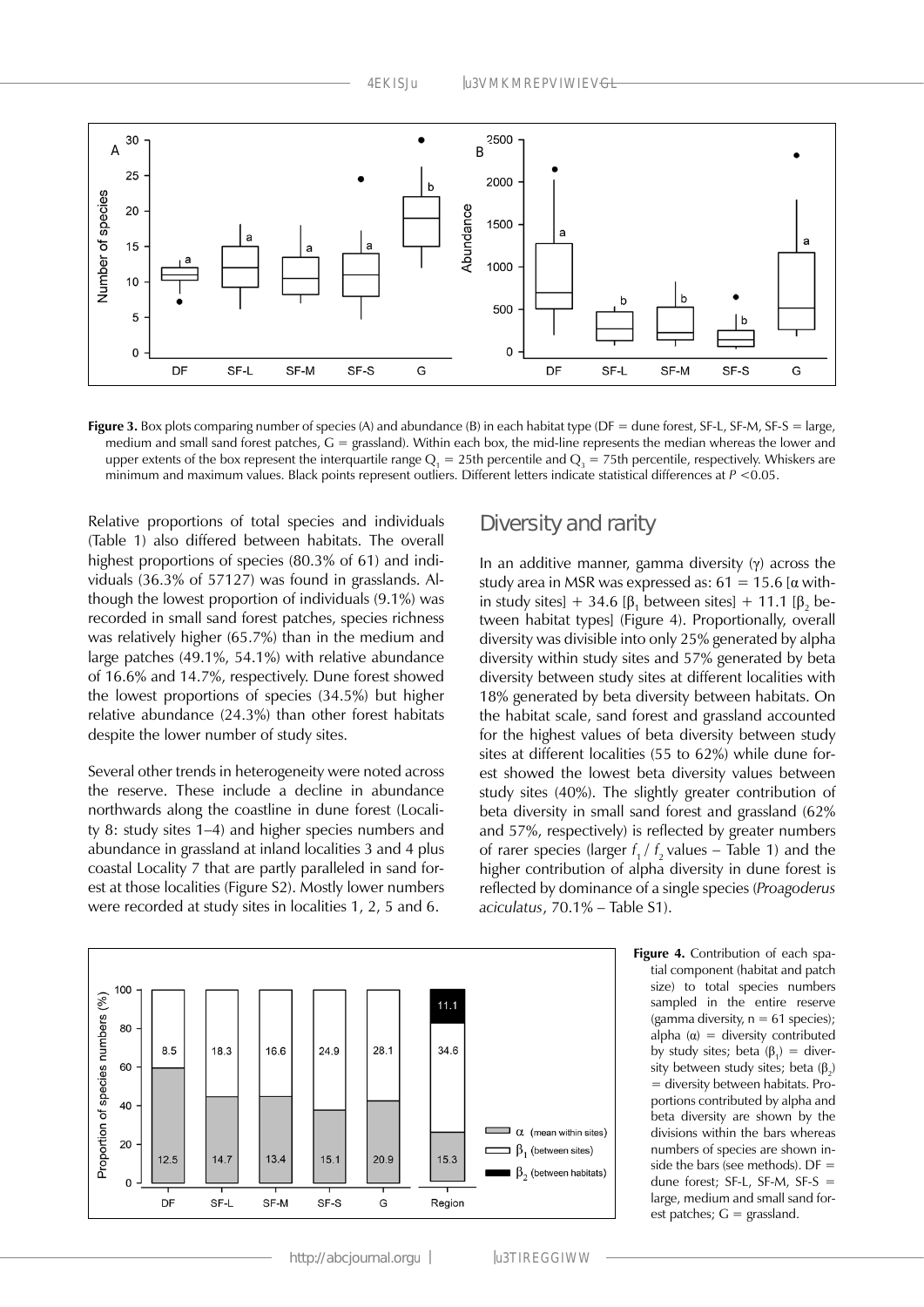

**Figure 3.** Box plots comparing number of species (A) and abundance (B) in each habitat type (DF = dune forest, SF-L, SF-M, SF-S = large, medium and small sand forest patches,  $G =$  grassland). Within each box, the mid-line represents the median whereas the lower and upper extents of the box represent the interquartile range  $Q_{\rm i}=$  25th percentile and  $Q_{\rm i}=$  75th percentile, respectively. Whiskers are minimum and maximum values. Black points represent outliers. Different letters indicate statistical differences at *P* <0.05.

Relative proportions of total species and individuals (Table 1) also differed between habitats. The overall highest proportions of species (80.3% of 61) and individuals (36.3% of 57127) was found in grasslands. Although the lowest proportion of individuals (9.1%) was recorded in small sand forest patches, species richness was relatively higher (65.7%) than in the medium and large patches (49.1%, 54.1%) with relative abundance of 16.6% and 14.7%, respectively. Dune forest showed the lowest proportions of species (34.5%) but higher relative abundance (24.3%) than other forest habitats despite the lower number of study sites.

Several other trends in heterogeneity were noted across the reserve. These include a decline in abundance northwards along the coastline in dune forest (Locality 8: study sites 1–4) and higher species numbers and abundance in grassland at inland localities 3 and 4 plus coastal Locality 7 that are partly paralleled in sand forest at those localities (Figure S2). Mostly lower numbers were recorded at study sites in localities 1, 2, 5 and 6.

#### Diversity and rarity

In an additive manner, gamma diversity (γ) across the study area in MSR was expressed as:  $61 = 15.6$  [α within study sites] + 34.6 [β<sub>1</sub> between sites] + 11.1 [β<sub>2</sub> between habitat types] (Figure 4). Proportionally, overall diversity was divisible into only 25% generated by alpha diversity within study sites and 57% generated by beta diversity between study sites at different localities with 18% generated by beta diversity between habitats. On the habitat scale, sand forest and grassland accounted for the highest values of beta diversity between study sites at different localities (55 to 62%) while dune forest showed the lowest beta diversity values between study sites (40%). The slightly greater contribution of beta diversity in small sand forest and grassland (62% and 57%, respectively) is reflected by greater numbers of rarer species (larger *f* <sup>1</sup>/ *f* <sup>2</sup>values – Table 1) and the higher contribution of alpha diversity in dune forest is reflected by dominance of a single species (*Proagoderus aciculatus*, 70.1% – Table S1).



Figure 4. Contribution of each spatial component (habitat and patch size) to total species numbers sampled in the entire reserve (gamma diversity,  $n = 61$  species); alpha  $(α) =$  diversity contributed by study sites; beta  $(β<sub>1</sub>) =$  diversity between study sites; beta  $(\beta_2)$ = diversity between habitats. Proportions contributed by alpha and beta diversity are shown by the divisions within the bars whereas numbers of species are shown inside the bars (see methods).  $DF =$ dune forest:  $SF-L$ ,  $SF-M$ ,  $SF-S$  = large, medium and small sand forest patches;  $G =$  grassland.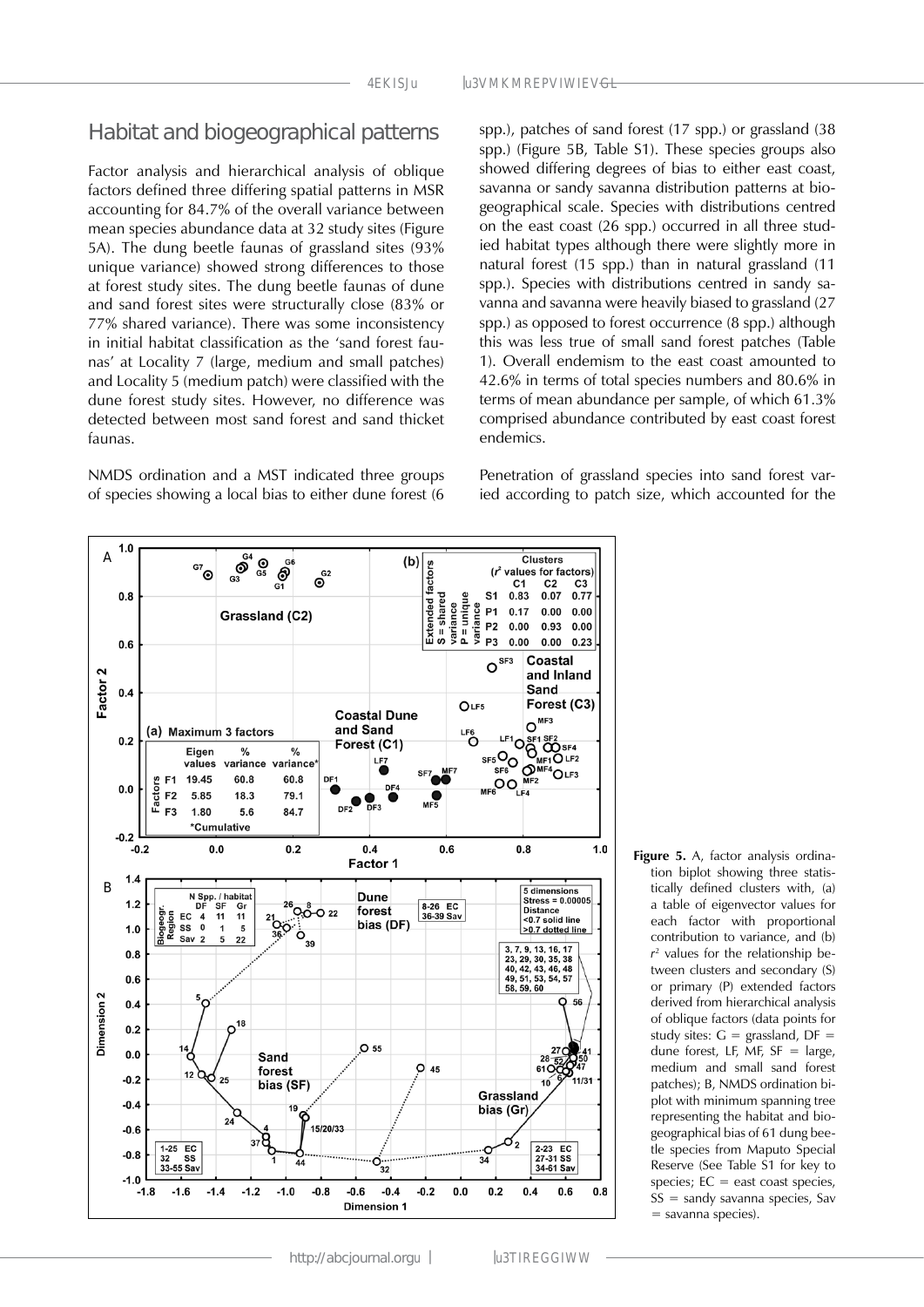#### Habitat and biogeographical patterns

Factor analysis and hierarchical analysis of oblique factors defined three differing spatial patterns in MSR accounting for 84.7% of the overall variance between mean species abundance data at 32 study sites (Figure 5A). The dung beetle faunas of grassland sites (93% unique variance) showed strong differences to those at forest study sites. The dung beetle faunas of dune and sand forest sites were structurally close (83% or 77% shared variance). There was some inconsistency in initial habitat classification as the 'sand forest faunas' at Locality 7 (large, medium and small patches) and Locality 5 (medium patch) were classified with the dune forest study sites. However, no difference was detected between most sand forest and sand thicket faunas.

NMDS ordination and a MST indicated three groups of species showing a local bias to either dune forest (6

 $_{G5}$ 

<sup>ော်</sup>

ೢ಄ಁ

<sup>67</sup>ම

Eigen

values

19.45

1.80

 $0.0$ 

 $\overline{1}$ 

 $25$ 

 $-1.4$ 

F<sub>1</sub> **Factors** 

 $F<sub>2</sub>$ 5.85

 $F<sub>3</sub>$ 

Siogeogr.<br>Region

**EC**  $\begin{array}{c} 4 \\ 0 \end{array}$ 

SS

Say  $\overline{2}$ 5

 $1-25$  FC

 $-1.6$ 

 $\frac{32}{33-55}$ Say

A

 $1.0$ 

 $0.8$ 

 $0.6$ 

 $0.4$ 

 $0.2$ 

 $0.0$ 

 $-0.2$  $-0.2$ 

 $1.4$ 

 $1.2$ 

 $1.0$ 

 $0.8$  $0.6$ 

 $0.4$ 

 $0.2$ 

 $0.0$ 

 $-0.2$ 

 $-0.4$ 

 $-0.6$ 

 $-0.8$ 

 $-1.0$  $-1.8$ 

Factor

B

Dimension<sub>2</sub>

spp.), patches of sand forest (17 spp.) or grassland (38 spp.) (Figure 5B, Table S1). These species groups also showed differing degrees of bias to either east coast, savanna or sandy savanna distribution patterns at biogeographical scale. Species with distributions centred on the east coast (26 spp.) occurred in all three studied habitat types although there were slightly more in natural forest (15 spp.) than in natural grassland (11 spp.). Species with distributions centred in sandy savanna and savanna were heavily biased to grassland (27 spp.) as opposed to forest occurrence (8 spp.) although this was less true of small sand forest patches (Table 1). Overall endemism to the east coast amounted to 42.6% in terms of total species numbers and 80.6% in terms of mean abundance per sample, of which 61.3% comprised abundance contributed by east coast forest endemics.

Penetration of grassland species into sand forest varied according to patch size, which accounted for the

 $\overline{\overline{\text{Clusters}}}$ 

alues for factors)

 $c<sub>2</sub>$ 



 $(b)$ 

**Figure 5.** A, factor analysis ordination biplot showing three statistically defined clusters with, (a) a table of eigenvector values for each factor with proportional contribution to variance, and (b) *r* 2 values for the relationship between clusters and secondary (S) or primary (P) extended factors derived from hierarchical analysis of oblique factors (data points for study sites:  $G =$  grassland,  $DF =$ dune forest, LF,  $MESE = large$ . medium and small sand forest patches); B, NMDS ordination biplot with minimum spanning tree representing the habitat and biogeographical bias of 61 dung beetle species from Maputo Special Reserve (See Table S1 for key to species:  $EC =$  east coast species.  $SS =$  sandy savanna species, Sav = savanna species).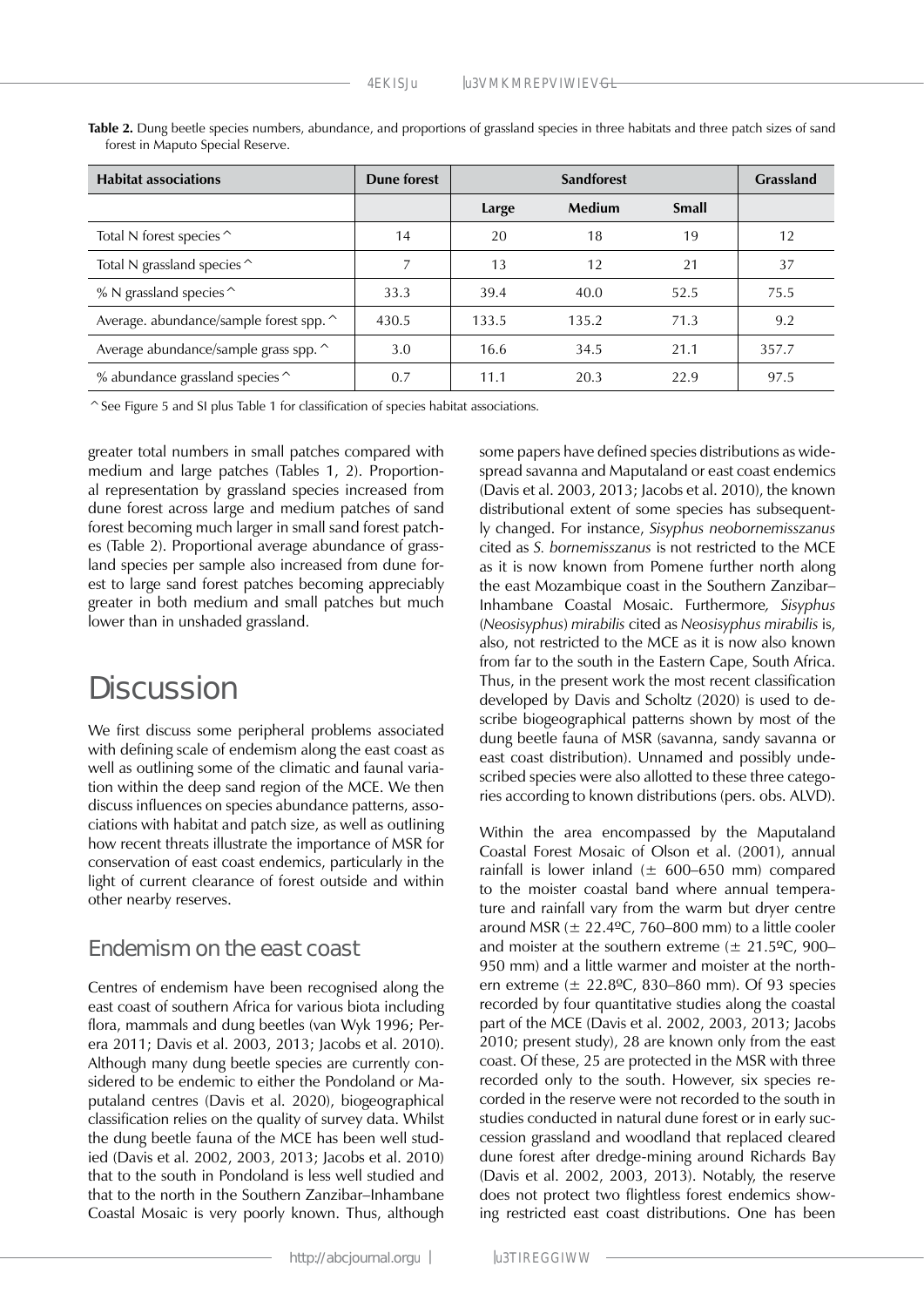| <b>Habitat associations</b>             | Dune forest |       | <b>Grassland</b> |       |       |
|-----------------------------------------|-------------|-------|------------------|-------|-------|
|                                         |             | Large | <b>Medium</b>    | Small |       |
| Total N forest species ^                | 14          | 20    | 18               | 19    | 12    |
| Total N grassland species ^             | 7           | 13    | 12               | 21    | 37    |
| % N grassland species $\hat{\ }$        | 33.3        | 39.4  | 40.0             | 52.5  | 75.5  |
| Average. abundance/sample forest spp. ^ | 430.5       | 133.5 | 135.2            | 71.3  | 9.2   |
| Average abundance/sample grass spp. ^   | 3.0         | 16.6  | 34.5             | 21.1  | 357.7 |
| % abundance grassland species ^         | 0.7         | 11.1  | 20.3             | 22.9  | 97.5  |

**Table 2.** Dung beetle species numbers, abundance, and proportions of grassland species in three habitats and three patch sizes of sand forest in Maputo Special Reserve.

^See Figure 5 and SI plus Table 1 for classification of species habitat associations.

greater total numbers in small patches compared with medium and large patches (Tables 1, 2). Proportional representation by grassland species increased from dune forest across large and medium patches of sand forest becoming much larger in small sand forest patches (Table 2). Proportional average abundance of grassland species per sample also increased from dune forest to large sand forest patches becoming appreciably greater in both medium and small patches but much lower than in unshaded grassland.

## Discussion

We first discuss some peripheral problems associated with defining scale of endemism along the east coast as well as outlining some of the climatic and faunal variation within the deep sand region of the MCE. We then discuss influences on species abundance patterns, associations with habitat and patch size, as well as outlining how recent threats illustrate the importance of MSR for conservation of east coast endemics, particularly in the light of current clearance of forest outside and within other nearby reserves.

### Endemism on the east coast

Centres of endemism have been recognised along the east coast of southern Africa for various biota including flora, mammals and dung beetles (van Wyk 1996; Perera 2011; Davis et al. 2003, 2013; Jacobs et al. 2010). Although many dung beetle species are currently considered to be endemic to either the Pondoland or Maputaland centres (Davis et al. 2020), biogeographical classification relies on the quality of survey data. Whilst the dung beetle fauna of the MCE has been well studied (Davis et al. 2002, 2003, 2013; Jacobs et al. 2010) that to the south in Pondoland is less well studied and that to the north in the Southern Zanzibar–Inhambane Coastal Mosaic is very poorly known. Thus, although some papers have defined species distributions as widespread savanna and Maputaland or east coast endemics (Davis et al. 2003, 2013; Jacobs et al. 2010), the known distributional extent of some species has subsequently changed. For instance, *Sisyphus neobornemisszanus* cited as *S. bornemisszanus* is not restricted to the MCE as it is now known from Pomene further north along the east Mozambique coast in the Southern Zanzibar– Inhambane Coastal Mosaic. Furthermore*, Sisyphus* (*Neosisyphus*) *mirabilis* cited as *Neosisyphus mirabilis* is, also, not restricted to the MCE as it is now also known from far to the south in the Eastern Cape, South Africa. Thus, in the present work the most recent classification developed by Davis and Scholtz (2020) is used to describe biogeographical patterns shown by most of the dung beetle fauna of MSR (savanna, sandy savanna or east coast distribution). Unnamed and possibly undescribed species were also allotted to these three categories according to known distributions (pers. obs. ALVD).

Within the area encompassed by the Maputaland Coastal Forest Mosaic of Olson et al. (2001), annual rainfall is lower inland  $(\pm 600 - 650$  mm) compared to the moister coastal band where annual temperature and rainfall vary from the warm but dryer centre around MSR ( $\pm$  22.4°C, 760–800 mm) to a little cooler and moister at the southern extreme  $(\pm 21.5^{\circ}C, 900-$ 950 mm) and a little warmer and moister at the northern extreme ( $\pm$  22.8°C, 830–860 mm). Of 93 species recorded by four quantitative studies along the coastal part of the MCE (Davis et al. 2002, 2003, 2013; Jacobs 2010; present study), 28 are known only from the east coast. Of these, 25 are protected in the MSR with three recorded only to the south. However, six species recorded in the reserve were not recorded to the south in studies conducted in natural dune forest or in early succession grassland and woodland that replaced cleared dune forest after dredge-mining around Richards Bay (Davis et al. 2002, 2003, 2013). Notably, the reserve does not protect two flightless forest endemics showing restricted east coast distributions. One has been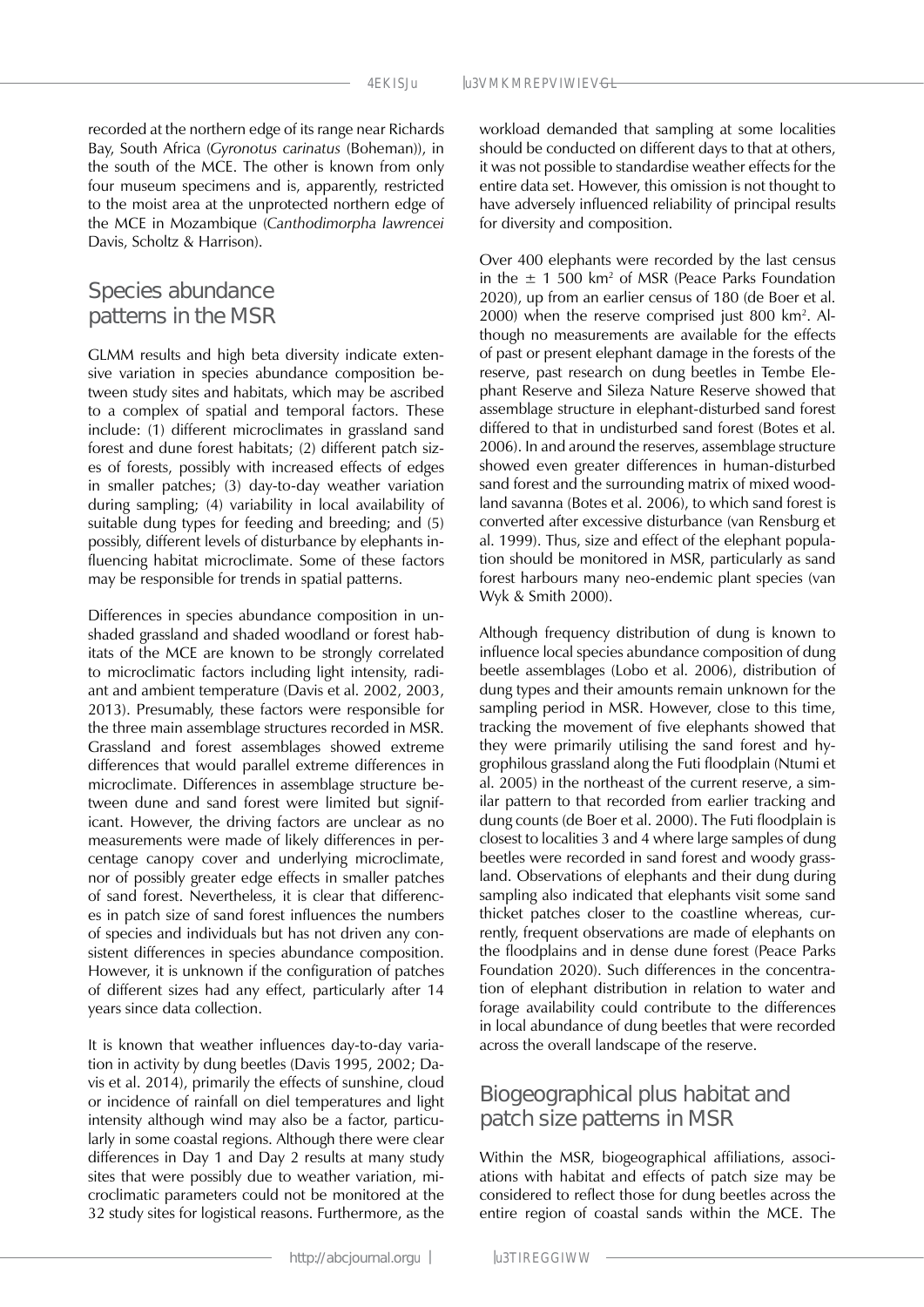recorded at the northern edge of its range near Richards Bay, South Africa (*Gyronotus carinatus* (Boheman)), in the south of the MCE. The other is known from only four museum specimens and is, apparently, restricted to the moist area at the unprotected northern edge of the MCE in Mozambique (*Canthodimorpha lawrencei* Davis, Scholtz & Harrison).

#### Species abundance patterns in the MSR

GLMM results and high beta diversity indicate extensive variation in species abundance composition between study sites and habitats, which may be ascribed to a complex of spatial and temporal factors. These include: (1) different microclimates in grassland sand forest and dune forest habitats; (2) different patch sizes of forests, possibly with increased effects of edges in smaller patches; (3) day-to-day weather variation during sampling; (4) variability in local availability of suitable dung types for feeding and breeding; and (5) possibly, different levels of disturbance by elephants influencing habitat microclimate. Some of these factors may be responsible for trends in spatial patterns.

Differences in species abundance composition in unshaded grassland and shaded woodland or forest habitats of the MCE are known to be strongly correlated to microclimatic factors including light intensity, radiant and ambient temperature (Davis et al. 2002, 2003, 2013). Presumably, these factors were responsible for the three main assemblage structures recorded in MSR. Grassland and forest assemblages showed extreme differences that would parallel extreme differences in microclimate. Differences in assemblage structure between dune and sand forest were limited but significant. However, the driving factors are unclear as no measurements were made of likely differences in percentage canopy cover and underlying microclimate, nor of possibly greater edge effects in smaller patches of sand forest. Nevertheless, it is clear that differences in patch size of sand forest influences the numbers of species and individuals but has not driven any consistent differences in species abundance composition. However, it is unknown if the configuration of patches of different sizes had any effect, particularly after 14 years since data collection.

It is known that weather influences day-to-day variation in activity by dung beetles (Davis 1995, 2002; Davis et al. 2014), primarily the effects of sunshine, cloud or incidence of rainfall on diel temperatures and light intensity although wind may also be a factor, particularly in some coastal regions. Although there were clear differences in Day 1 and Day 2 results at many study sites that were possibly due to weather variation, microclimatic parameters could not be monitored at the 32 study sites for logistical reasons. Furthermore, as the workload demanded that sampling at some localities should be conducted on different days to that at others, it was not possible to standardise weather effects for the entire data set. However, this omission is not thought to have adversely influenced reliability of principal results for diversity and composition.

Over 400 elephants were recorded by the last census in the  $\pm$  1 500 km<sup>2</sup> of MSR (Peace Parks Foundation 2020), up from an earlier census of 180 (de Boer et al.  $2000$ ) when the reserve comprised just 800 km<sup>2</sup>. Although no measurements are available for the effects of past or present elephant damage in the forests of the reserve, past research on dung beetles in Tembe Elephant Reserve and Sileza Nature Reserve showed that assemblage structure in elephant-disturbed sand forest differed to that in undisturbed sand forest (Botes et al. 2006). In and around the reserves, assemblage structure showed even greater differences in human-disturbed sand forest and the surrounding matrix of mixed woodland savanna (Botes et al. 2006), to which sand forest is converted after excessive disturbance (van Rensburg et al. 1999). Thus, size and effect of the elephant population should be monitored in MSR, particularly as sand forest harbours many neo-endemic plant species (van Wyk & Smith 2000).

Although frequency distribution of dung is known to influence local species abundance composition of dung beetle assemblages (Lobo et al. 2006), distribution of dung types and their amounts remain unknown for the sampling period in MSR. However, close to this time, tracking the movement of five elephants showed that they were primarily utilising the sand forest and hygrophilous grassland along the Futi floodplain (Ntumi et al. 2005) in the northeast of the current reserve, a similar pattern to that recorded from earlier tracking and dung counts (de Boer et al. 2000). The Futi floodplain is closest to localities 3 and 4 where large samples of dung beetles were recorded in sand forest and woody grassland. Observations of elephants and their dung during sampling also indicated that elephants visit some sand thicket patches closer to the coastline whereas, currently, frequent observations are made of elephants on the floodplains and in dense dune forest (Peace Parks Foundation 2020). Such differences in the concentration of elephant distribution in relation to water and forage availability could contribute to the differences in local abundance of dung beetles that were recorded across the overall landscape of the reserve.

### Biogeographical plus habitat and patch size patterns in MSR

Within the MSR, biogeographical affiliations, associations with habitat and effects of patch size may be considered to reflect those for dung beetles across the entire region of coastal sands within the MCE. The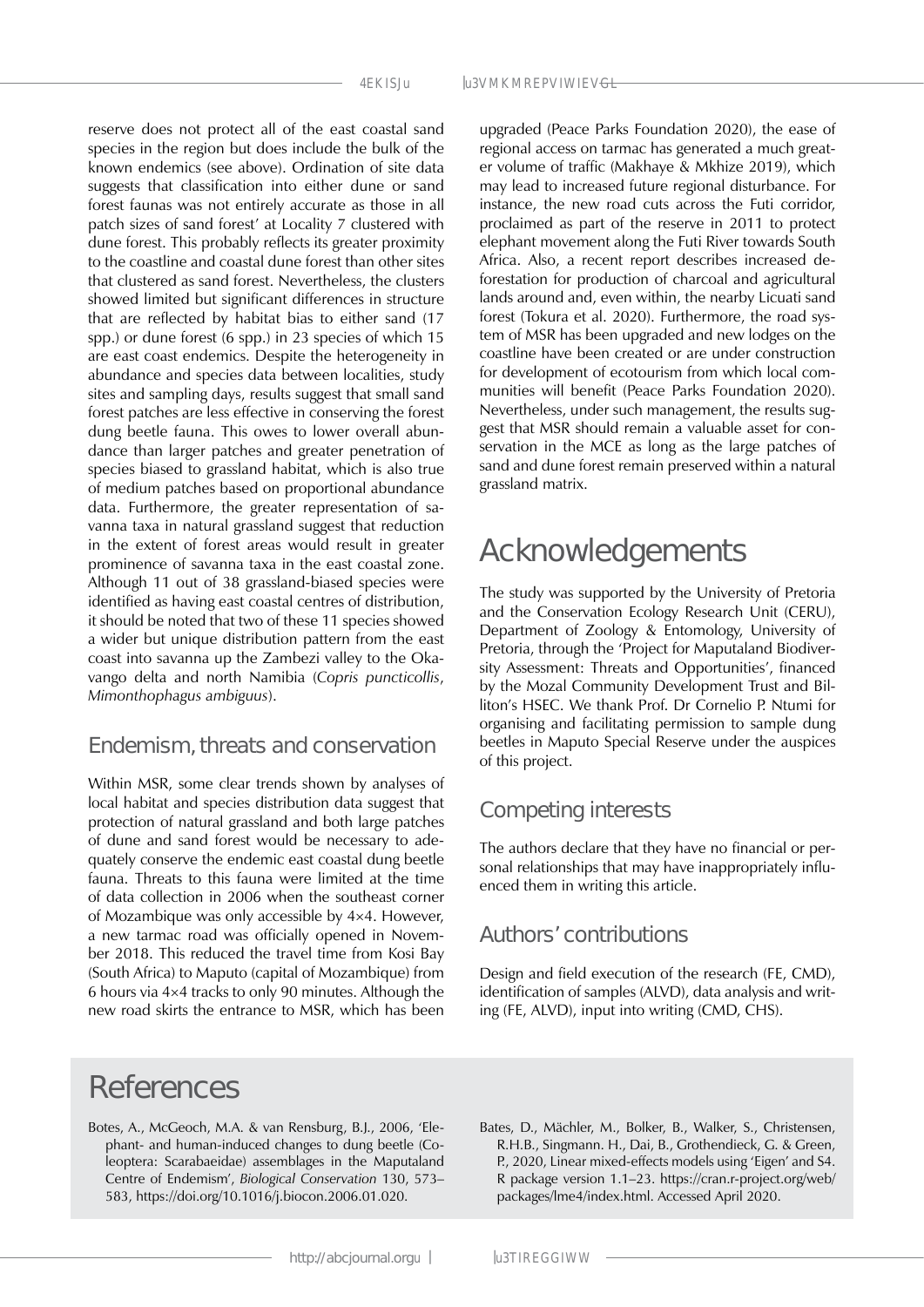reserve does not protect all of the east coastal sand species in the region but does include the bulk of the known endemics (see above). Ordination of site data suggests that classification into either dune or sand forest faunas was not entirely accurate as those in all patch sizes of sand forest' at Locality 7 clustered with dune forest. This probably reflects its greater proximity to the coastline and coastal dune forest than other sites that clustered as sand forest. Nevertheless, the clusters showed limited but significant differences in structure that are reflected by habitat bias to either sand (17 spp.) or dune forest (6 spp.) in 23 species of which 15 are east coast endemics. Despite the heterogeneity in abundance and species data between localities, study sites and sampling days, results suggest that small sand forest patches are less effective in conserving the forest dung beetle fauna. This owes to lower overall abundance than larger patches and greater penetration of species biased to grassland habitat, which is also true of medium patches based on proportional abundance data. Furthermore, the greater representation of savanna taxa in natural grassland suggest that reduction in the extent of forest areas would result in greater prominence of savanna taxa in the east coastal zone. Although 11 out of 38 grassland-biased species were identified as having east coastal centres of distribution, it should be noted that two of these 11 species showed a wider but unique distribution pattern from the east coast into savanna up the Zambezi valley to the Okavango delta and north Namibia (*Copris puncticollis*, *Mimonthophagus ambiguus*).

### Endemism, threats and conservation

Within MSR, some clear trends shown by analyses of local habitat and species distribution data suggest that protection of natural grassland and both large patches of dune and sand forest would be necessary to adequately conserve the endemic east coastal dung beetle fauna. Threats to this fauna were limited at the time of data collection in 2006 when the southeast corner of Mozambique was only accessible by 4×4. However, a new tarmac road was officially opened in November 2018. This reduced the travel time from Kosi Bay (South Africa) to Maputo (capital of Mozambique) from 6 hours via 4×4 tracks to only 90 minutes. Although the new road skirts the entrance to MSR, which has been

upgraded (Peace Parks Foundation 2020), the ease of regional access on tarmac has generated a much greater volume of traffic (Makhaye & Mkhize 2019), which may lead to increased future regional disturbance. For instance, the new road cuts across the Futi corridor, proclaimed as part of the reserve in 2011 to protect elephant movement along the Futi River towards South Africa. Also, a recent report describes increased deforestation for production of charcoal and agricultural lands around and, even within, the nearby Licuati sand forest (Tokura et al. 2020). Furthermore, the road system of MSR has been upgraded and new lodges on the coastline have been created or are under construction for development of ecotourism from which local communities will benefit (Peace Parks Foundation 2020). Nevertheless, under such management, the results suggest that MSR should remain a valuable asset for conservation in the MCE as long as the large patches of sand and dune forest remain preserved within a natural grassland matrix.

## Acknowledgements

The study was supported by the University of Pretoria and the Conservation Ecology Research Unit (CERU), Department of Zoology & Entomology, University of Pretoria, through the 'Project for Maputaland Biodiversity Assessment: Threats and Opportunities', financed by the Mozal Community Development Trust and Billiton's HSEC. We thank Prof. Dr Cornelio P. Ntumi for organising and facilitating permission to sample dung beetles in Maputo Special Reserve under the auspices of this project.

### Competing interests

The authors declare that they have no financial or personal relationships that may have inappropriately influenced them in writing this article.

### Authors' contributions

Design and field execution of the research (FE, CMD), identification of samples (ALVD), data analysis and writing (FE, ALVD), input into writing (CMD, CHS).

# References

- Botes, A., McGeoch, M.A. & van Rensburg, B.J., 2006, 'Elephant- and human-induced changes to dung beetle (Coleoptera: Scarabaeidae) assemblages in the Maputaland Centre of Endemism', *Biological Conservation* 130, 573– 583, [https://doi.org/10.1016/j.biocon.2006.01.020.](https://doi.org/10.1016/j.biocon.2006.01.020)
- Bates, D., Mächler, M., Bolker, B., Walker, S., Christensen, R.H.B., Singmann. H., Dai, B., Grothendieck, G. & Green, P., 2020, Linear mixed-effects models using 'Eigen' and S4. R package version 1.1–23. [https://cran.r-project.org/web/](https://cran.r-project.org/web/packages/lme4/index.html) [packages/lme4/index.html.](https://cran.r-project.org/web/packages/lme4/index.html) Accessed April 2020.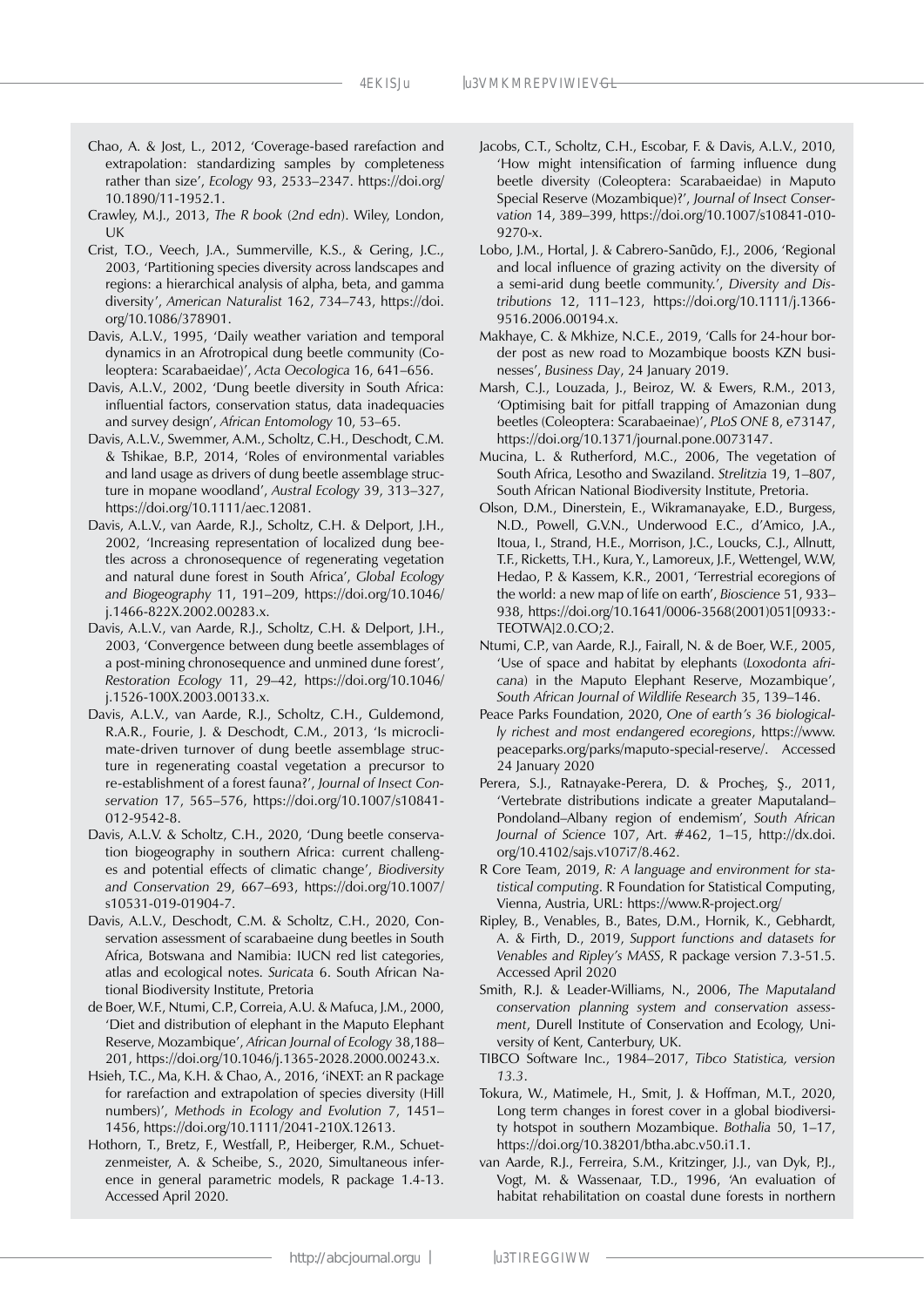- Chao, A. & Jost, L., 2012, 'Coverage-based rarefaction and extrapolation: standardizing samples by completeness rather than size', *Ecology* 93, 2533–2347. [https://doi.org/](https://doi.org) 10.1890/11-1952.1.
- Crawley, M.J., 2013, *The R book* (*2nd edn*). Wiley, London, UK
- Crist, T.O., Veech, J.A., Summerville, K.S., & Gering, J.C., 2003, 'Partitioning species diversity across landscapes and regions: a hierarchical analysis of alpha, beta, and gamma diversity', *American Naturalist* 162, 734–743, [https://doi.](https://doi.org/10.1086/378901) [org/10.1086/378901.](https://doi.org/10.1086/378901)
- Davis, A.L.V., 1995, 'Daily weather variation and temporal dynamics in an Afrotropical dung beetle community (Coleoptera: Scarabaeidae)', *Acta Oecologica* 16, 641–656.
- Davis, A.L.V., 2002, 'Dung beetle diversity in South Africa: influential factors, conservation status, data inadequacies and survey design', *African Entomology* 10, 53–65.
- Davis, A.L.V., Swemmer, A.M., Scholtz, C.H., Deschodt, C.M. & Tshikae, B.P., 2014, 'Roles of environmental variables and land usage as drivers of dung beetle assemblage structure in mopane woodland', *Austral Ecology* 39, 313–327, <https://doi.org/10.1111/aec.12081>.
- Davis, A.L.V., van Aarde, R.J., Scholtz, C.H. & Delport, J.H., 2002, 'Increasing representation of localized dung beetles across a chronosequence of regenerating vegetation and natural dune forest in South Africa', *Global Ecology and Biogeography* 11, 191–209, [https://doi.org/10.1046/](https://doi.org/10.1046/j.1466-822X.2002.00283) [j.1466-822X.2002.00283.](https://doi.org/10.1046/j.1466-822X.2002.00283)x.
- Davis, A.L.V., van Aarde, R.J., Scholtz, C.H. & Delport, J.H., 2003, 'Convergence between dung beetle assemblages of a post-mining chronosequence and unmined dune forest', *Restoration Ecology* 11, 29–42, [https://doi.org/10.1046/](https://doi.org/10.1046/j.1526-100X.2003.00133) [j.1526-100X.2003.00133.](https://doi.org/10.1046/j.1526-100X.2003.00133)x.
- Davis, A.L.V., van Aarde, R.J., Scholtz, C.H., Guldemond, R.A.R., Fourie, J. & Deschodt, C.M., 2013, 'Is microclimate-driven turnover of dung beetle assemblage structure in regenerating coastal vegetation a precursor to re-establishment of a forest fauna?', *Journal of Insect Conservation* 17, 565–576, <https://doi.org/10.1007/s10841>- 012-9542-8.
- Davis, A.L.V. & Scholtz, C.H., 2020, 'Dung beetle conservation biogeography in southern Africa: current challenges and potential effects of climatic change', *Biodiversity and Conservation* 29, 667–693, [https://doi.org/10.1007/](https://doi.org/10.1007/s10531) [s10531-](https://doi.org/10.1007/s10531)019-01904-7.
- Davis, A.L.V., Deschodt, C.M. & Scholtz, C.H., 2020, Conservation assessment of scarabaeine dung beetles in South Africa, Botswana and Namibia: IUCN red list categories, atlas and ecological notes. *Suricata* 6. South African National Biodiversity Institute, Pretoria
- de Boer, W.F., Ntumi, C.P., Correia, A.U. & Mafuca, J.M., 2000, 'Diet and distribution of elephant in the Maputo Elephant Reserve, Mozambique', *African Journal of Ecology* 38,188– 201, <https://doi.org/10.1046/j.1365-2028.2000.00243>.x.
- Hsieh, T.C., Ma, K.H. & Chao, A., 2016, 'iNEXT: an R package for rarefaction and extrapolation of species diversity (Hill numbers)', *Methods in Ecology and Evolution* 7, 1451– 1456, [https://doi.org/10.1111/2041-210X.12613.](https://doi.org/10.1111/2041-210X.12613)
- Hothorn, T., Bretz, F., Westfall, P., Heiberger, R.M., Schuetzenmeister, A. & Scheibe, S., 2020, Simultaneous inference in general parametric models, R package 1.4-13. Accessed April 2020.
- Jacobs, C.T., Scholtz, C.H., Escobar, F. & Davis, A.L.V., 2010, 'How might intensification of farming influence dung beetle diversity (Coleoptera: Scarabaeidae) in Maputo Special Reserve (Mozambique)?', *Journal of Insect Conservation* 14, 389–399, [https://doi.org/10.1007/s10841-](https://doi.org/10.1007/s10841)010- 9270-x.
- Lobo, J.M., Hortal, J. & Cabrero-Sanudo, F.J., 2006, 'Regional and local influence of grazing activity on the diversity of a semi-arid dung beetle community.', *Diversity and Distributions* 12, 111–123, [https://doi.org/10.1111/j.1366-](https://doi.org/10.1111/j.1366-9516.2006.00194) [9516.2006.00194](https://doi.org/10.1111/j.1366-9516.2006.00194).x.
- Makhaye, C. & Mkhize, N.C.E., 2019, 'Calls for 24-hour border post as new road to Mozambique boosts KZN businesses', *Business Day*, 24 January 2019.
- Marsh, C.J., Louzada, J., Beiroz, W. & Ewers, R.M., 2013, 'Optimising bait for pitfall trapping of Amazonian dung beetles (Coleoptera: Scarabaeinae)', *PLoS ONE* 8, e73147, <https://doi.org/10.1371/journal.pone.0073147.>
- Mucina, L. & Rutherford, M.C., 2006, The vegetation of South Africa, Lesotho and Swaziland. *Strelitzia* 19, 1–807, South African National Biodiversity Institute, Pretoria.
- Olson, D.M., Dinerstein, E., Wikramanayake, E.D., Burgess, N.D., Powell, G.V.N., Underwood E.C., d'Amico, J.A., Itoua, I., Strand, H.E., Morrison, J.C., Loucks, C.J., Allnutt, T.F., Ricketts, T.H., Kura, Y., Lamoreux, J.F., Wettengel, W.W, Hedao, P. & Kassem, K.R., 2001, 'Terrestrial ecoregions of the world: a new map of life on earth', *Bioscience* 51, 933– 938, <https://doi.org/10.1641/0006>-3568(2001)051[0933:- TEOTWA][2.0.CO;](2.0.CO)2.
- Ntumi, C.P., van Aarde, R.J., Fairall, N. & de Boer, W.F., 2005, 'Use of space and habitat by elephants (*Loxodonta africana*) in the Maputo Elephant Reserve, Mozambique', *South African Journal of Wildlife Research* 35, 139–146.
- Peace Parks Foundation, 2020, *One of earth's 36 biologically richest and most endangered ecoregions*, [https://www.](https://www.peaceparks.org/parks/maputo) [peaceparks.org/parks/maputo-](https://www.peaceparks.org/parks/maputo)special-reserve/. Accessed 24 January 2020
- Perera, S.J., Ratnayake-Perera, D. & Procheş, Ş., 2011, 'Vertebrate distributions indicate a greater Maputaland– Pondoland–Albany region of endemism', *South African Journal of Science* 107, Art. #462, 1–15, [http://dx.doi.](http://dx.doi.org/10.4102/sajs.v107i7/8.462) [org/10.4102/sajs.v107i7/8.462.](http://dx.doi.org/10.4102/sajs.v107i7/8.462)
- R Core Team, 2019, *R: A language and environment for statistical computing*. R Foundation for Statistical Computing, Vienna, Austria, URL:<https://www.R-project.org>/
- Ripley, B., Venables, B., Bates, D.M., Hornik, K., Gebhardt, A. & Firth, D., 2019, *Support functions and datasets for Venables and Ripley's MASS*, R package version 7.3-51.5. Accessed April 2020
- Smith, R.J. & Leader-Williams, N., 2006, *The Maputaland conservation planning system and conservation assessment*, Durell Institute of Conservation and Ecology, University of Kent, Canterbury, UK.
- TIBCO Software Inc., 1984–2017, *Tibco Statistica, version 13.3*.
- Tokura, W., Matimele, H., Smit, J. & Hoffman, M.T., 2020, Long term changes in forest cover in a global biodiversity hotspot in southern Mozambique. *Bothalia* 50, 1–17, <https://doi.org/10.38201/btha.abc.v50.i1>.1.
- van Aarde, R.J., Ferreira, S.M., Kritzinger, J.J., van Dyk, P.J., Vogt, M. & Wassenaar, T.D., 1996, 'An evaluation of habitat rehabilitation on coastal dune forests in northern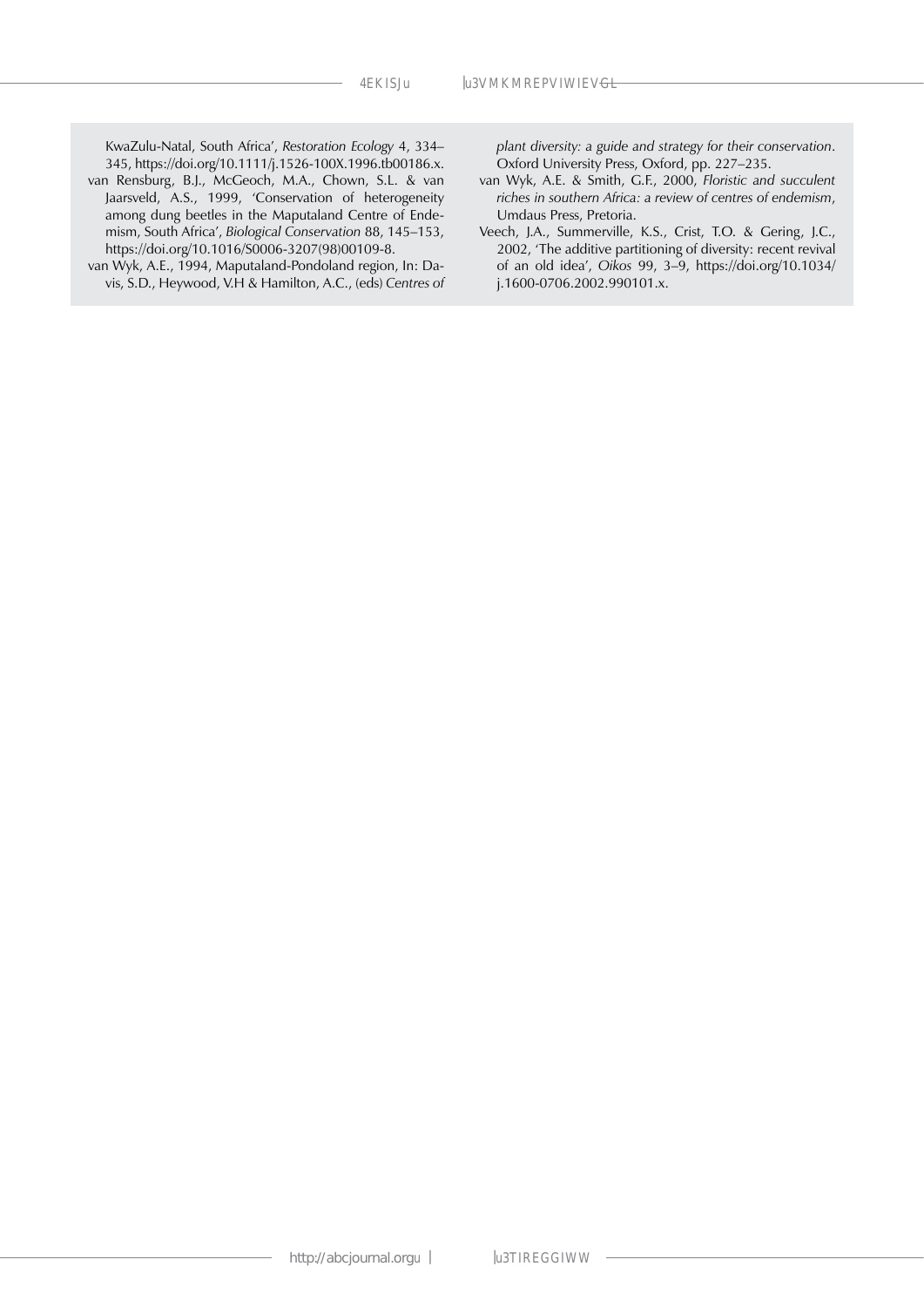KwaZulu-Natal, South Africa', *Restoration Ecology* 4, 334– 345,<https://doi.org/10.1111/j.1526-100X.1996.tb00186>.x.

van Rensburg, B.J., McGeoch, M.A., Chown, S.L. & van Jaarsveld, A.S., 1999, 'Conservation of heterogeneity among dung beetles in the Maputaland Centre of Endemism, South Africa', *Biological Conservation* 88, 145–153, <https://doi.org/10.1016/S0006>-3207(98)00109-8.

van Wyk, A.E., 1994, Maputaland-Pondoland region, In: Davis, S.D., Heywood, V.H & Hamilton, A.C., (eds) *Centres of*  *plant diversity: a guide and strategy for their conservation*. Oxford University Press, Oxford, pp. 227–235.

- van Wyk, A.E. & Smith, G.F., 2000, *Floristic and succulent riches in southern Africa: a review of centres of endemism*, Umdaus Press, Pretoria.
- Veech, J.A., Summerville, K.S., Crist, T.O. & Gering, J.C., 2002, 'The additive partitioning of diversity: recent revival of an old idea', *Oikos* 99, 3–9, [https://doi.org/10.1034/](https://doi.org/10.1034/j.1600-0706.2002.990101) [j.1600-0706.2002.990101.](https://doi.org/10.1034/j.1600-0706.2002.990101)x.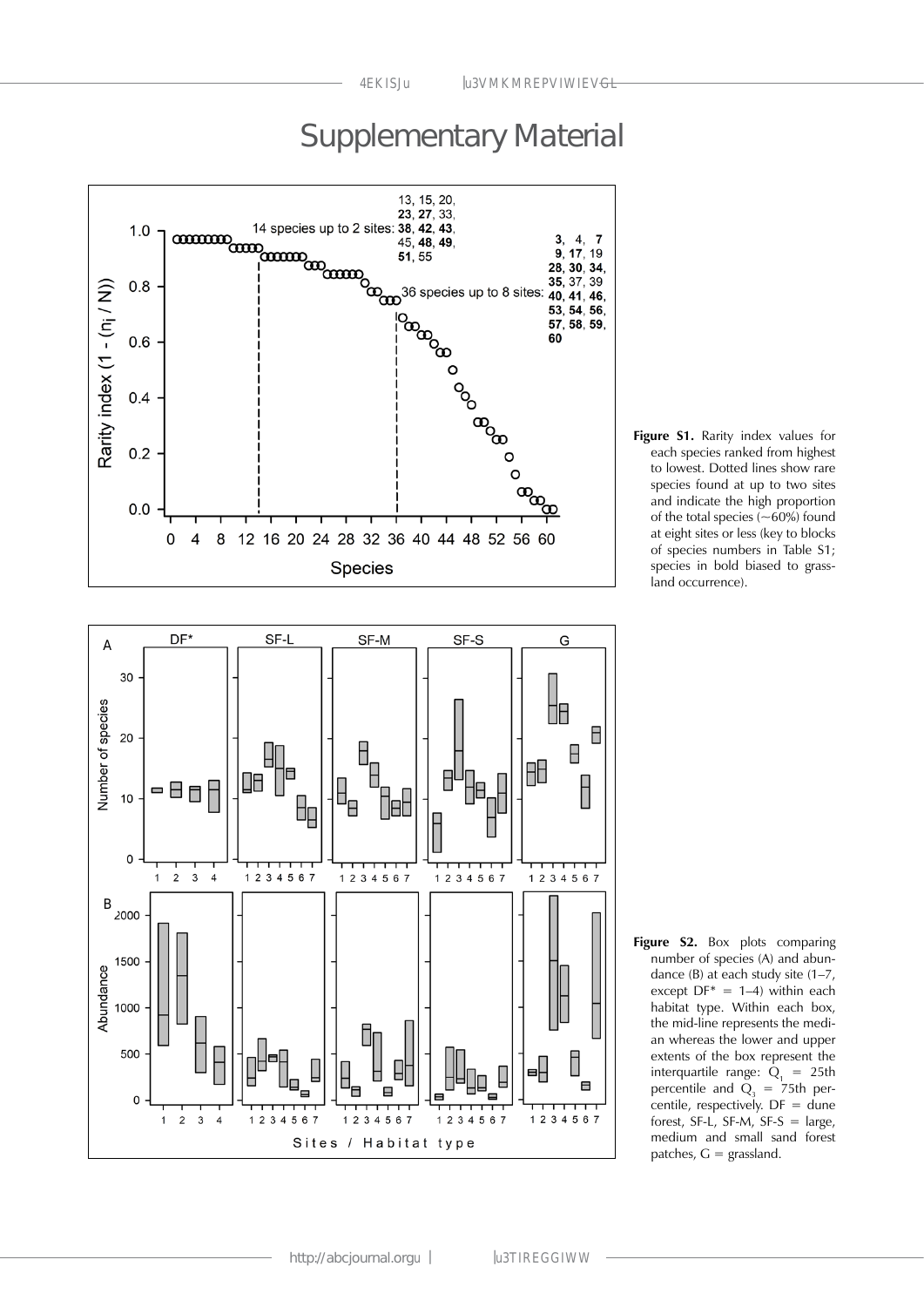## Supplementary Material





**Figure S1.** Rarity index values for each species ranked from highest to lowest. Dotted lines show rare species found at up to two sites and indicate the high proportion of the total species  $(-60%)$  found at eight sites or less (key to blocks of species numbers in Table S1; species in bold biased to grassland occurrence).

Figure S2. Box plots comparing number of species (A) and abundance (B) at each study site (1–7, except  $DF^* = 1-4$ ) within each habitat type. Within each box, the mid-line represents the median whereas the lower and upper extents of the box represent the interquartile range:  $Q_1 = 25$ th percentile and  $Q_3 = 75$ th percentile, respectively.  $DF =$  dune forest, SF-L, SF-M,  $SF-S = large$ , medium and small sand forest patches,  $G =$  grassland.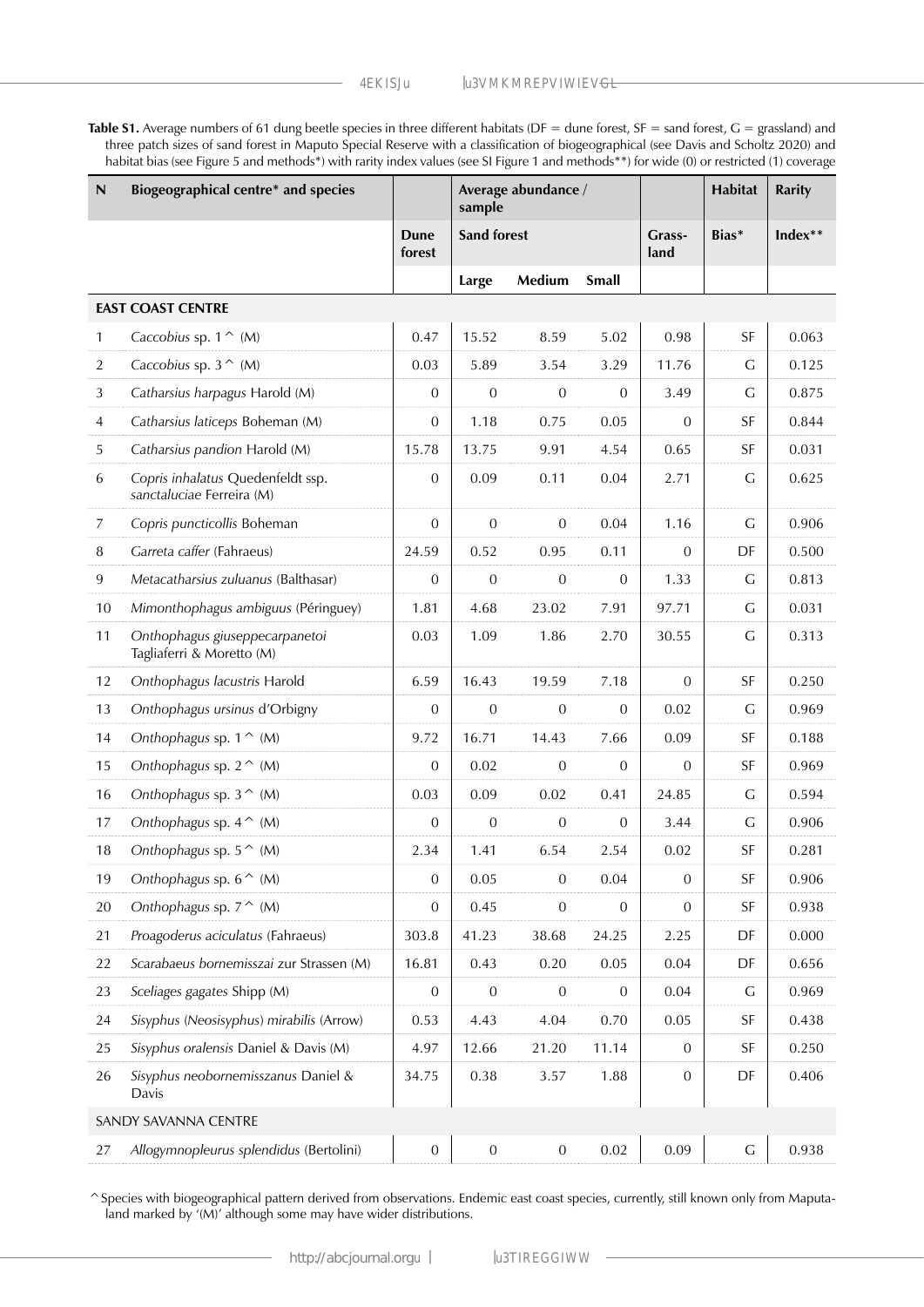Table S1. Average numbers of 61 dung beetle species in three different habitats (DF = dune forest, SF = sand forest, G = grassland) and three patch sizes of sand forest in Maputo Special Reserve with a classification of biogeographical (see Davis and Scholtz 2020) and habitat bias (see Figure 5 and methods\*) with rarity index values (see SI Figure 1 and methods\*\*) for wide (0) or restricted (1) coverage

| $\boldsymbol{\mathsf{N}}$ | Biogeographical centre* and species                            |                  | Average abundance /<br>sample |                  |                  |                | <b>Habitat</b> | <b>Rarity</b> |
|---------------------------|----------------------------------------------------------------|------------------|-------------------------------|------------------|------------------|----------------|----------------|---------------|
|                           |                                                                | Dune<br>forest   | <b>Sand forest</b>            |                  | Grass-<br>land   | Bias*          | Index**        |               |
|                           |                                                                |                  | Large                         | Medium           | <b>Small</b>     |                |                |               |
|                           | <b>EAST COAST CENTRE</b>                                       |                  |                               |                  |                  |                |                |               |
| $\mathbf{1}$              | Caccobius sp. $1^{\wedge}$ (M)                                 | 0.47             | 15.52                         | 8.59             | 5.02             | 0.98           | SF             | 0.063         |
| 2                         | Caccobius sp. $3^{\wedge}$ (M)                                 | 0.03             | 5.89                          | 3.54             | 3.29             | 11.76          | $\mathsf C$    | 0.125         |
| 3                         | Catharsius harpagus Harold (M)                                 | $\overline{0}$   | $\boldsymbol{0}$              | $\boldsymbol{0}$ | $\mathbf{0}$     | 3.49           | $\mathsf C$    | 0.875         |
| $\overline{4}$            | Catharsius laticeps Boheman (M)                                | $\overline{0}$   | 1.18                          | 0.75             | 0.05             | $\overline{0}$ | SF             | 0.844         |
| 5                         | Catharsius pandion Harold (M)                                  | 15.78            | 13.75                         | 9.91             | 4.54             | 0.65           | <b>SF</b>      | 0.031         |
| 6                         | Copris inhalatus Quedenfeldt ssp.<br>sanctaluciae Ferreira (M) | $\overline{0}$   | 0.09                          | 0.11             | 0.04             | 2.71           | G              | 0.625         |
| $\overline{7}$            | Copris puncticollis Boheman                                    | $\mathbf{0}$     | $\mathbf{0}$                  | $\boldsymbol{0}$ | 0.04             | 1.16           | $\mathsf C$    | 0.906         |
| 8                         | Garreta caffer (Fahraeus)                                      | 24.59            | 0.52                          | 0.95             | 0.11             | $\overline{0}$ | DF             | 0.500         |
| 9                         | Metacatharsius zuluanus (Balthasar)                            | $\overline{0}$   | $\boldsymbol{0}$              | $\boldsymbol{0}$ | $\boldsymbol{0}$ | 1.33           | $\mathsf C$    | 0.813         |
| 10                        | Mimonthophagus ambiguus (Péringuey)                            | 1.81             | 4.68                          | 23.02            | 7.91             | 97.71          | $\mathsf C$    | 0.031         |
| 11                        | Onthophagus giuseppecarpanetoi<br>Tagliaferri & Moretto (M)    | 0.03             | 1.09                          | 1.86             | 2.70             | 30.55          | G              | 0.313         |
| 12                        | Onthophagus lacustris Harold                                   | 6.59             | 16.43                         | 19.59            | 7.18             | $\Omega$       | SF             | 0.250         |
| 13                        | Onthophagus ursinus d'Orbigny                                  | $\mathbf{0}$     | $\boldsymbol{0}$              | $\boldsymbol{0}$ | $\boldsymbol{0}$ | 0.02           | $\mathsf C$    | 0.969         |
| 14                        | Onthophagus sp. $1^{\wedge}$ (M)                               | 9.72             | 16.71                         | 14.43            | 7.66             | 0.09           | <b>SF</b>      | 0.188         |
| 15                        | Onthophagus sp. $2^{\wedge}$ (M)                               | $\overline{0}$   | 0.02                          | $\boldsymbol{0}$ | $\mathbf{0}$     | $\overline{0}$ | <b>SF</b>      | 0.969         |
| 16                        | Onthophagus sp. $3^{\wedge}$ (M)                               | 0.03             | 0.09                          | 0.02             | 0.41             | 24.85          | G              | 0.594         |
| 17                        | Onthophagus sp. $4^{\wedge}$ (M)                               | $\mathbf{0}$     | $\mathbf{0}$                  | $\mathbf 0$      | $\mathbf{0}$     | 3.44           | G              | 0.906         |
| 18                        | Onthophagus sp. $5^{\wedge}$ (M)                               | 2.34             | 1.41                          | 6.54             | 2.54             | 0.02           | SF             | 0.281         |
| 19                        | Onthophagus sp. $6^{\sim}$ (M)                                 | $\boldsymbol{0}$ | 0.05                          | $\boldsymbol{0}$ | 0.04             | $\overline{0}$ | ${\sf SF}$     | 0.906         |
| 20                        | Onthophagus sp. $7^{\wedge}$ (M)                               | $\boldsymbol{0}$ | 0.45                          | $\boldsymbol{0}$ | $\mathbf{0}$     | $\mathbf{0}$   | SF             | 0.938         |
| 21                        | Proagoderus aciculatus (Fahraeus)                              | 303.8            | 41.23                         | 38.68            | 24.25            | 2.25           | DF             | 0.000         |
| 22                        | Scarabaeus bornemisszai zur Strassen (M)                       | 16.81            | 0.43                          | 0.20             | 0.05             | 0.04           | DF             | 0.656         |
| 23                        | Sceliages gagates Shipp (M)                                    | $\overline{0}$   | $\mathbf{0}$                  | $\overline{0}$   | 0                | 0.04           | G              | 0.969         |
| 24                        | Sisyphus (Neosisyphus) mirabilis (Arrow)                       | 0.53             | 4.43                          | 4.04             | 0.70             | 0.05           | SF             | 0.438         |
| 25                        | Sisyphus oralensis Daniel & Davis (M)                          | 4.97             | 12.66                         | 21.20            | 11.14            | $\overline{0}$ | SF             | 0.250         |
| 26                        | Sisyphus neobornemisszanus Daniel &<br>Davis                   | 34.75            | 0.38                          | 3.57             | 1.88             | $\mathbf{0}$   | DF             | 0.406         |
|                           | SANDY SAVANNA CENTRE                                           |                  |                               |                  |                  |                |                |               |
| 27                        | Allogymnopleurus splendidus (Bertolini)                        | $\boldsymbol{0}$ | $\boldsymbol{0}$              | $\boldsymbol{0}$ | $0.02\,$         | 0.09           | ${\mathsf G}$  | 0.938         |

^Species with biogeographical pattern derived from observations. Endemic east coast species, currently, still known only from Maputaland marked by '(M)' although some may have wider distributions.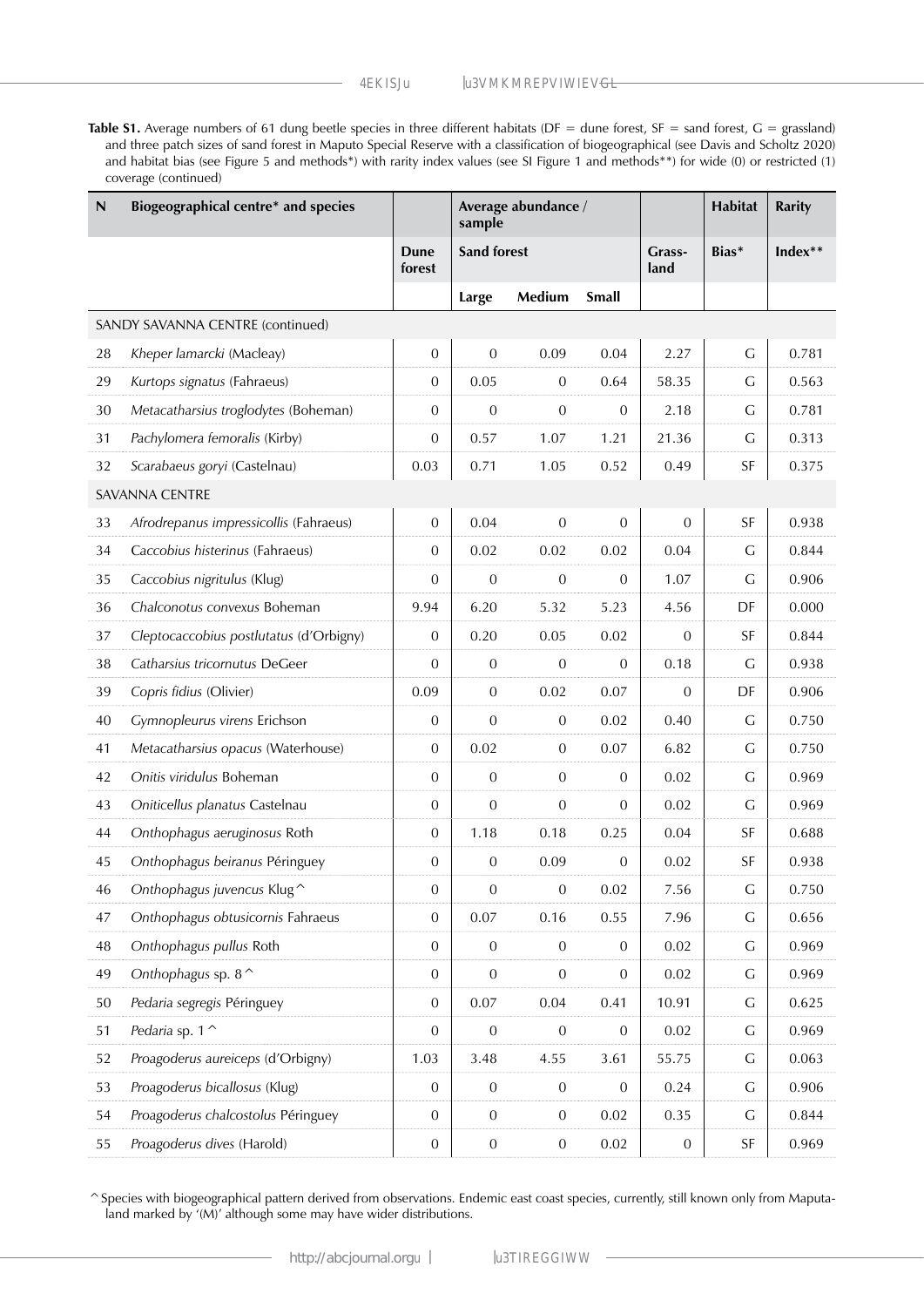Table S1. Average numbers of 61 dung beetle species in three different habitats (DF = dune forest, SF = sand forest, G = grassland) and three patch sizes of sand forest in Maputo Special Reserve with a classification of biogeographical (see Davis and Scholtz 2020) and habitat bias (see Figure 5 and methods\*) with rarity index values (see SI Figure 1 and methods\*\*) for wide (0) or restricted (1) coverage (continued)

| $\boldsymbol{\mathsf{N}}$ | Biogeographical centre* and species     |                       | Average abundance /<br>sample |                  |                  |                | <b>Habitat</b> | <b>Rarity</b> |
|---------------------------|-----------------------------------------|-----------------------|-------------------------------|------------------|------------------|----------------|----------------|---------------|
|                           |                                         | <b>Dune</b><br>forest | <b>Sand forest</b>            |                  | Grass-<br>land   | Bias*          | Index**        |               |
|                           |                                         |                       | Large                         | Medium           | <b>Small</b>     |                |                |               |
|                           | SANDY SAVANNA CENTRE (continued)        |                       |                               |                  |                  |                |                |               |
| 28                        | Kheper lamarcki (Macleay)               | $\boldsymbol{0}$      | $\boldsymbol{0}$              | 0.09             | 0.04             | 2.27           | $\mathsf C$    | 0.781         |
| 29                        | Kurtops signatus (Fahraeus)             | $\overline{0}$        | 0.05                          | $\mathbf 0$      | 0.64             | 58.35          | G              | 0.563         |
| 30                        | Metacatharsius troglodytes (Boheman)    | $\overline{0}$        | $\mathbf{0}$                  | $\mathbf{0}$     | $\overline{0}$   | 2.18           | $\mathsf C$    | 0.781         |
| 31                        | Pachylomera femoralis (Kirby)           | 0                     | 0.57                          | 1.07             | 1.21             | 21.36          | G              | 0.313         |
| 32                        | Scarabaeus goryi (Castelnau)            | 0.03                  | 0.71                          | 1.05             | 0.52             | 0.49           | SF             | 0.375         |
|                           | <b>SAVANNA CENTRE</b>                   |                       |                               |                  |                  |                |                |               |
| 33                        | Afrodrepanus impressicollis (Fahraeus)  | $\overline{0}$        | 0.04                          | $\boldsymbol{0}$ | $\mathbf{0}$     | $\overline{0}$ | SF             | 0.938         |
| 34                        | Caccobius histerinus (Fahraeus)         | $\overline{0}$        | 0.02                          | 0.02             | 0.02             | 0.04           | G              | 0.844         |
| 35                        | Caccobius nigritulus (Klug)             | 0                     | $\mathbf{0}$                  | $\mathbf{0}$     | $\overline{0}$   | 1.07           | $\mathsf C$    | 0.906         |
| 36                        | Chalconotus convexus Boheman            | 9.94                  | 6.20                          | 5.32             | 5.23             | 4.56           | DF             | 0.000         |
| 37                        | Cleptocaccobius postlutatus (d'Orbigny) | $\boldsymbol{0}$      | 0.20                          | 0.05             | 0.02             | $\overline{0}$ | SF             | 0.844         |
| 38                        | Catharsius tricornutus DeGeer           | $\overline{0}$        | $\mathbf{0}$                  | $\boldsymbol{0}$ | $\overline{0}$   | 0.18           | G              | 0.938         |
| 39                        | Copris fidius (Olivier)                 | 0.09                  | $\mathbf{0}$                  | 0.02             | 0.07             | $\overline{0}$ | DF             | 0.906         |
| 40                        | Gymnopleurus virens Erichson            | $\overline{0}$        | $\boldsymbol{0}$              | $\boldsymbol{0}$ | 0.02             | 0.40           | $\mathsf C$    | 0.750         |
| 41                        | Metacatharsius opacus (Waterhouse)      | $\boldsymbol{0}$      | 0.02                          | $\mathbf 0$      | 0.07             | 6.82           | $\mathsf C$    | 0.750         |
| 42                        | Onitis viridulus Boheman                | $\overline{0}$        | $\boldsymbol{0}$              | $\overline{0}$   | $\overline{0}$   | 0.02           | $\mathsf C$    | 0.969         |
| 43                        | Oniticellus planatus Castelnau          | $\overline{0}$        | $\boldsymbol{0}$              | $\boldsymbol{0}$ | $\boldsymbol{0}$ | 0.02           | G              | 0.969         |
| 44                        | Onthophagus aeruginosus Roth            | $\overline{0}$        | 1.18                          | 0.18             | 0.25             | 0.04           | SF             | 0.688         |
| 45                        | Onthophagus beiranus Péringuey          | $\mathbf{0}$          | 0                             | 0.09             | $\mathbf{0}$     | 0.02           | SF             | 0.938         |
| 46                        | Onthophagus juvencus Klug^              | 0                     | 0                             | $\theta$         | 0.02             | 7.56           | $\mathsf C$    | 0.750         |
| 47                        | Onthophagus obtusicornis Fahraeus       | 0                     | 0.07                          | 0.16             | 0.55             | 7.96           | G              | 0.656         |
| 48                        | Onthophagus pullus Roth                 | 0                     | $\overline{0}$                | $\mathbf{0}$     | 0                | 0.02           | G              | 0.969         |
| 49                        | Onthophagus sp. $8^{\wedge}$            | $\overline{0}$        | $\boldsymbol{0}$              | $\overline{0}$   | $\mathbf{0}$     | 0.02           | G              | 0.969         |
| 50                        | Pedaria segregis Péringuey              | $\overline{0}$        | 0.07                          | 0.04             | 0.41             | 10.91          | G              | 0.625         |
| 51                        | Pedaria sp. 1 ^                         | $\overline{0}$        | $\overline{0}$                | $\mathbf{0}$     | $\mathbf{0}$     | 0.02           | G              | 0.969         |
| 52                        | Proagoderus aureiceps (d'Orbigny)       | 1.03                  | 3.48                          | 4.55             | 3.61             | 55.75          | G              | 0.063         |
| 53                        | Proagoderus bicallosus (Klug)           | $\overline{0}$        | $\overline{0}$                | $\mathbf{0}$     | $\mathbf{0}$     | 0.24           | G              | 0.906         |
| 54                        | Proagoderus chalcostolus Péringuey      | $\overline{0}$        | $\overline{0}$                | $\boldsymbol{0}$ | 0.02             | 0.35           | G              | 0.844         |
| 55                        | Proagoderus dives (Harold)              | $\boldsymbol{0}$      | $\boldsymbol{0}$              | $\boldsymbol{0}$ | $0.02\,$         | $\overline{0}$ | SF             | 0.969         |

^Species with biogeographical pattern derived from observations. Endemic east coast species, currently, still known only from Maputaland marked by '(M)' although some may have wider distributions.